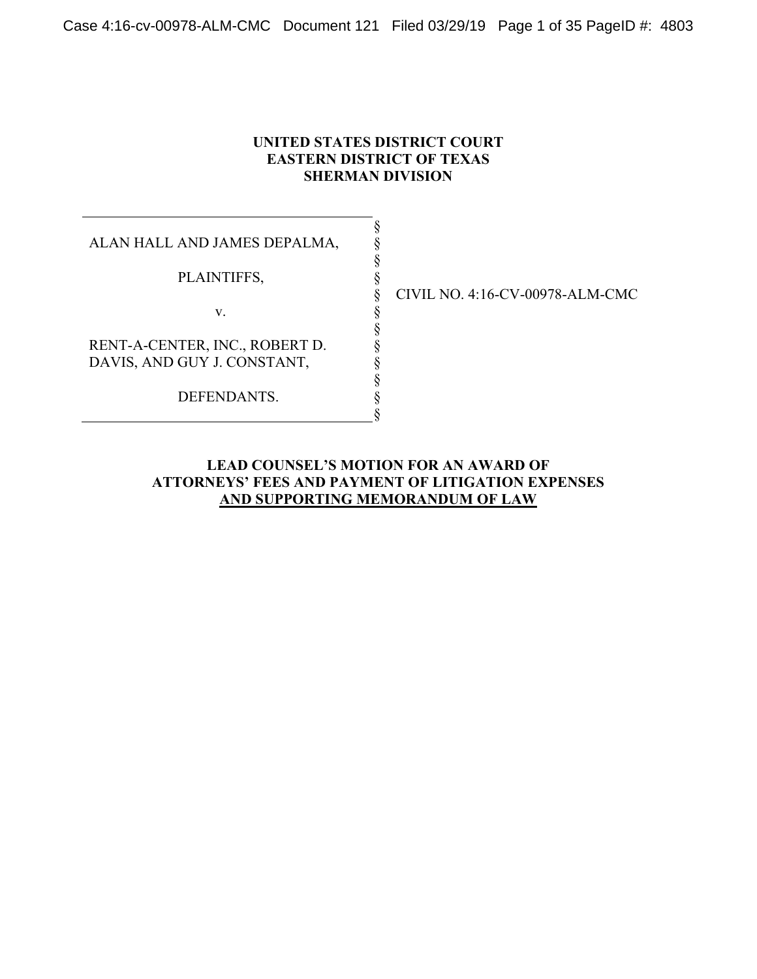## **UNITED STATES DISTRICT COURT EASTERN DISTRICT OF TEXAS SHERMAN DIVISION**

§ § § § § § § § § § § §

ALAN HALL AND JAMES DEPALMA,

PLAINTIFFS,

v.

RENT-A-CENTER, INC., ROBERT D. DAVIS, AND GUY J. CONSTANT,

DEFENDANTS.

CIVIL NO. 4:16-CV-00978-ALM-CMC

## **LEAD COUNSEL'S MOTION FOR AN AWARD OF ATTORNEYS' FEES AND PAYMENT OF LITIGATION EXPENSES AND SUPPORTING MEMORANDUM OF LAW**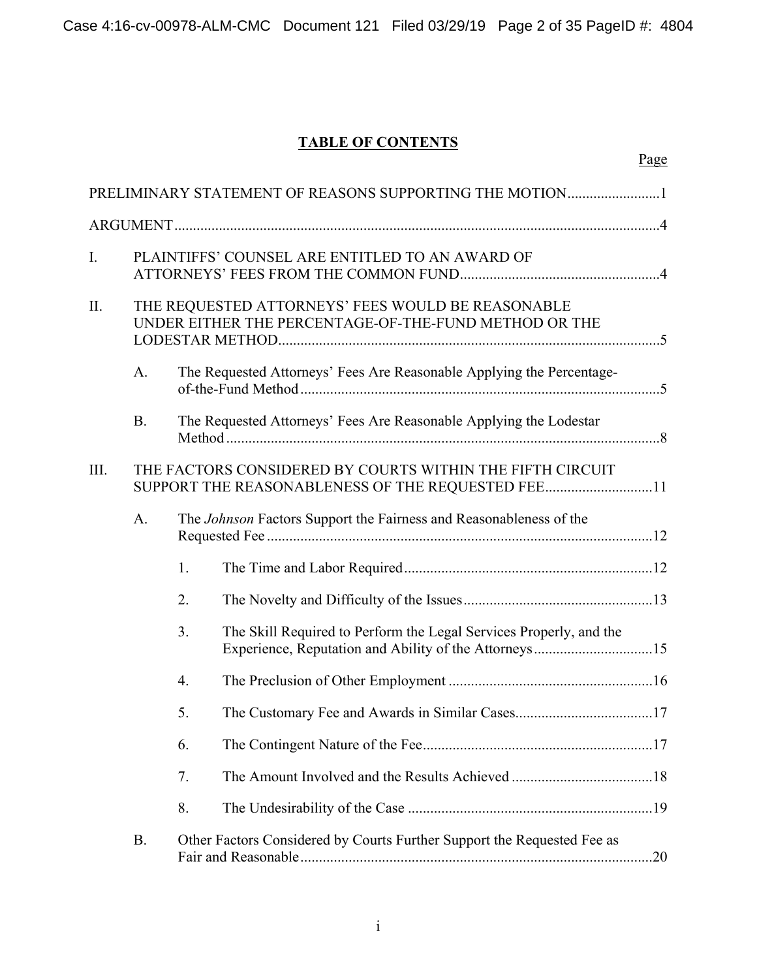# **TABLE OF CONTENTS**

|      |           |                  | PRELIMINARY STATEMENT OF REASONS SUPPORTING THE MOTION1                                                                     |  |
|------|-----------|------------------|-----------------------------------------------------------------------------------------------------------------------------|--|
|      |           |                  |                                                                                                                             |  |
| I.   |           |                  | PLAINTIFFS' COUNSEL ARE ENTITLED TO AN AWARD OF                                                                             |  |
| II.  |           |                  | THE REQUESTED ATTORNEYS' FEES WOULD BE REASONABLE<br>UNDER EITHER THE PERCENTAGE-OF-THE-FUND METHOD OR THE                  |  |
|      | A.        |                  | The Requested Attorneys' Fees Are Reasonable Applying the Percentage-                                                       |  |
|      | <b>B.</b> |                  | The Requested Attorneys' Fees Are Reasonable Applying the Lodestar                                                          |  |
| III. |           |                  | THE FACTORS CONSIDERED BY COURTS WITHIN THE FIFTH CIRCUIT<br>SUPPORT THE REASONABLENESS OF THE REQUESTED FEE11              |  |
|      | A.        |                  | The Johnson Factors Support the Fairness and Reasonableness of the                                                          |  |
|      |           | 1.               |                                                                                                                             |  |
|      |           | 2.               |                                                                                                                             |  |
|      |           | 3.               | The Skill Required to Perform the Legal Services Properly, and the<br>Experience, Reputation and Ability of the Attorneys15 |  |
|      |           | $\overline{4}$ . |                                                                                                                             |  |
|      |           | 5.               |                                                                                                                             |  |
|      |           | 6.               |                                                                                                                             |  |
|      |           | 7.               |                                                                                                                             |  |
|      |           | 8.               |                                                                                                                             |  |
|      | <b>B.</b> |                  | Other Factors Considered by Courts Further Support the Requested Fee as                                                     |  |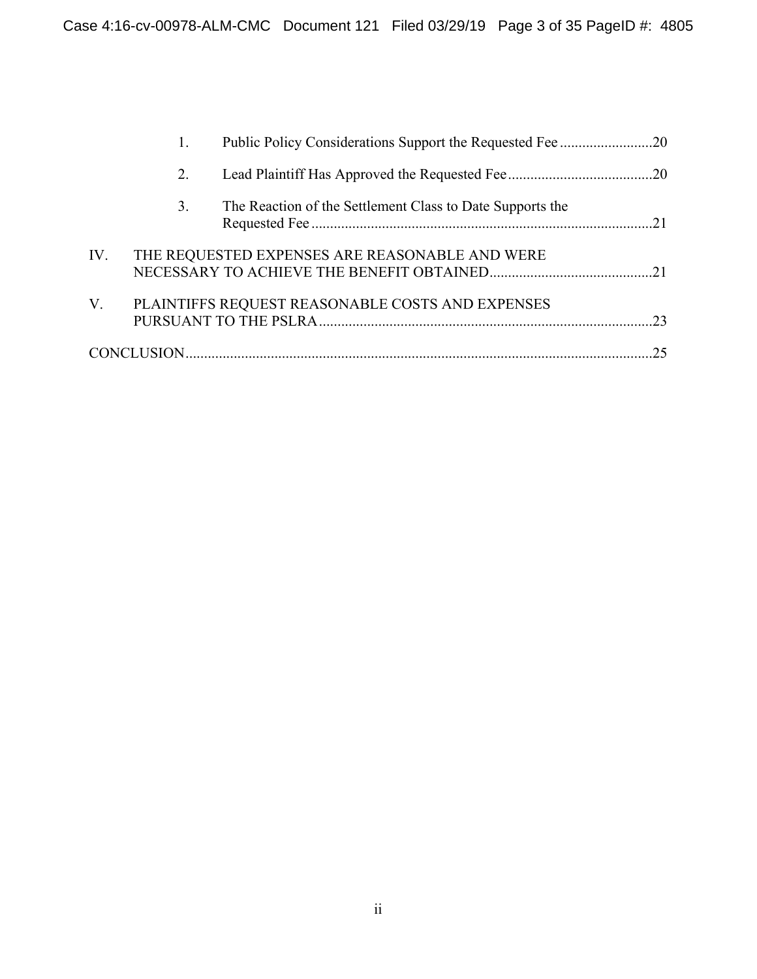|     | 2. |                                                           |    |
|-----|----|-----------------------------------------------------------|----|
|     | 3. | The Reaction of the Settlement Class to Date Supports the |    |
| IV. |    | THE REQUESTED EXPENSES ARE REASONABLE AND WERE            |    |
| V.  |    | PLAINTIFFS REQUEST REASONABLE COSTS AND EXPENSES          |    |
|     |    |                                                           | 25 |
|     |    |                                                           |    |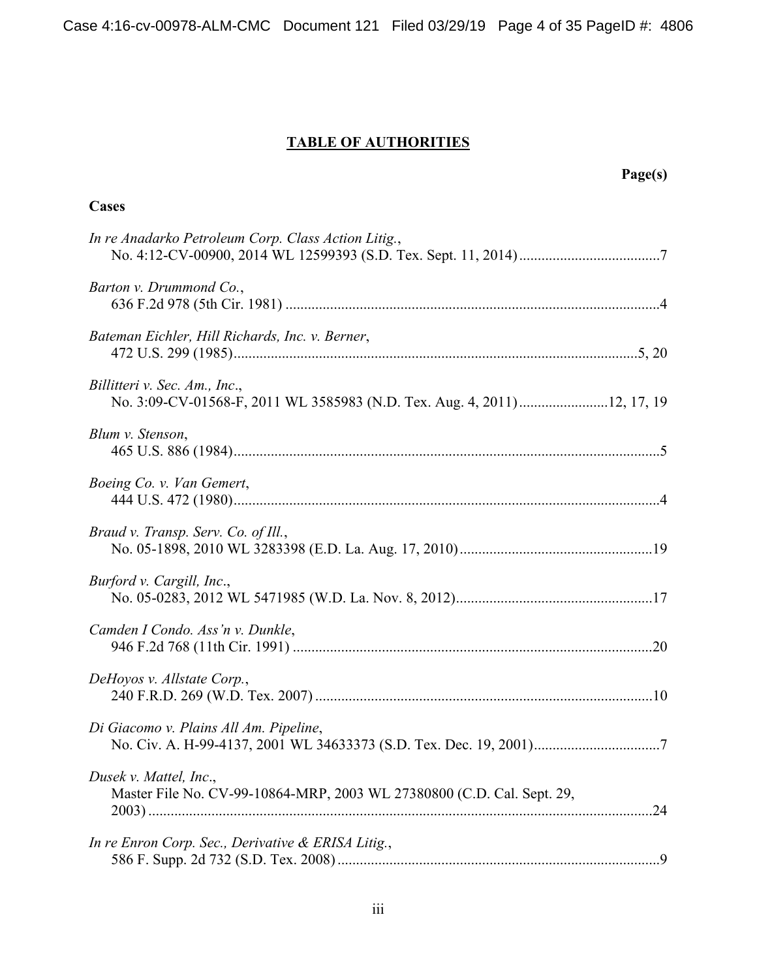Case 4:16-cv-00978-ALM-CMC Document 121 Filed 03/29/19 Page 4 of 35 PageID #: 4806

# **TABLE OF AUTHORITIES**

**Cases** 

 **Page(s)** 

| In re Anadarko Petroleum Corp. Class Action Litig.,                                                      |  |
|----------------------------------------------------------------------------------------------------------|--|
| Barton v. Drummond Co.,                                                                                  |  |
| Bateman Eichler, Hill Richards, Inc. v. Berner,                                                          |  |
| Billitteri v. Sec. Am., Inc.,<br>No. 3:09-CV-01568-F, 2011 WL 3585983 (N.D. Tex. Aug. 4, 2011)12, 17, 19 |  |
| Blum v. Stenson,                                                                                         |  |
| Boeing Co. v. Van Gemert,                                                                                |  |
| Braud v. Transp. Serv. Co. of Ill.,                                                                      |  |
| Burford v. Cargill, Inc.,                                                                                |  |
| Camden I Condo. Ass'n v. Dunkle,                                                                         |  |
| DeHoyos v. Allstate Corp.,                                                                               |  |
| Di Giacomo v. Plains All Am. Pipeline,                                                                   |  |
| Dusek v. Mattel, Inc.,<br>Master File No. CV-99-10864-MRP, 2003 WL 27380800 (C.D. Cal. Sept. 29,         |  |
| In re Enron Corp. Sec., Derivative & ERISA Litig.,                                                       |  |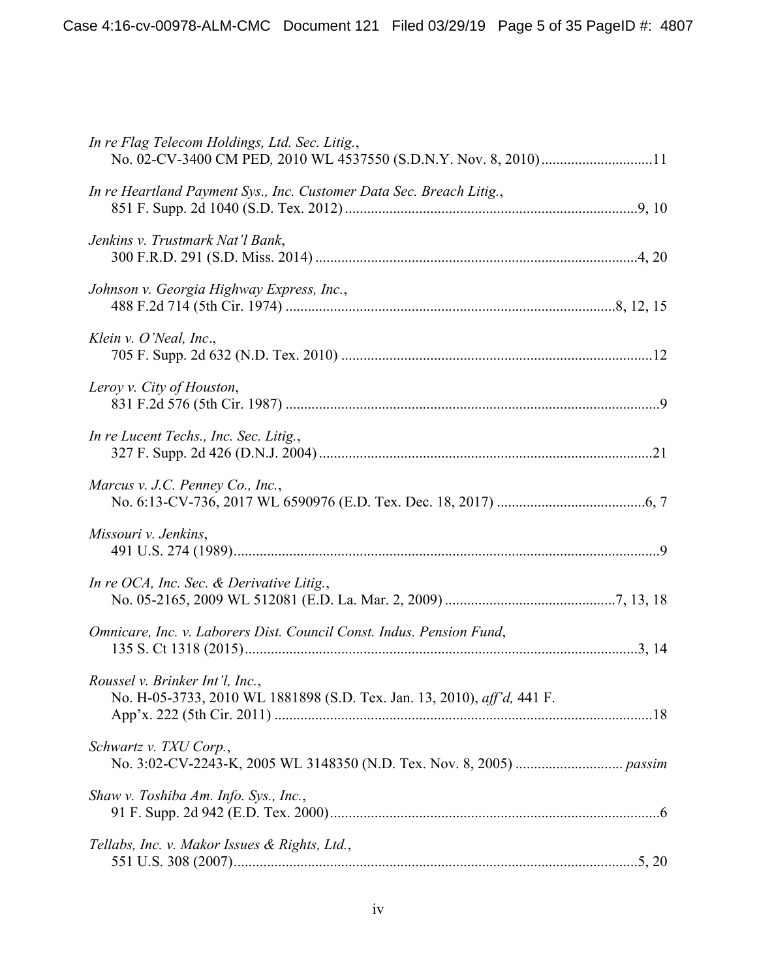| In re Flag Telecom Holdings, Ltd. Sec. Litig.,<br>No. 02-CV-3400 CM PED, 2010 WL 4537550 (S.D.N.Y. Nov. 8, 2010)11 |  |
|--------------------------------------------------------------------------------------------------------------------|--|
| In re Heartland Payment Sys., Inc. Customer Data Sec. Breach Litig.,                                               |  |
| Jenkins v. Trustmark Nat'l Bank,                                                                                   |  |
| Johnson v. Georgia Highway Express, Inc.,                                                                          |  |
| Klein v. $O'$ Neal, Inc.,                                                                                          |  |
| Leroy v. City of Houston,                                                                                          |  |
| In re Lucent Techs., Inc. Sec. Litig.,                                                                             |  |
| Marcus v. J.C. Penney Co., Inc.,                                                                                   |  |
| Missouri v. Jenkins,                                                                                               |  |
| In re OCA, Inc. Sec. $\&$ Derivative Litig.,                                                                       |  |
| Omnicare, Inc. v. Laborers Dist. Council Const. Indus. Pension Fund,                                               |  |
| Roussel v. Brinker Int'l, Inc.,<br>No. H-05-3733, 2010 WL 1881898 (S.D. Tex. Jan. 13, 2010), aff'd, 441 F.         |  |
| Schwartz v. TXU Corp.,                                                                                             |  |
| Shaw v. Toshiba Am. Info. Sys., Inc.,                                                                              |  |
| Tellabs, Inc. v. Makor Issues & Rights, Ltd.,                                                                      |  |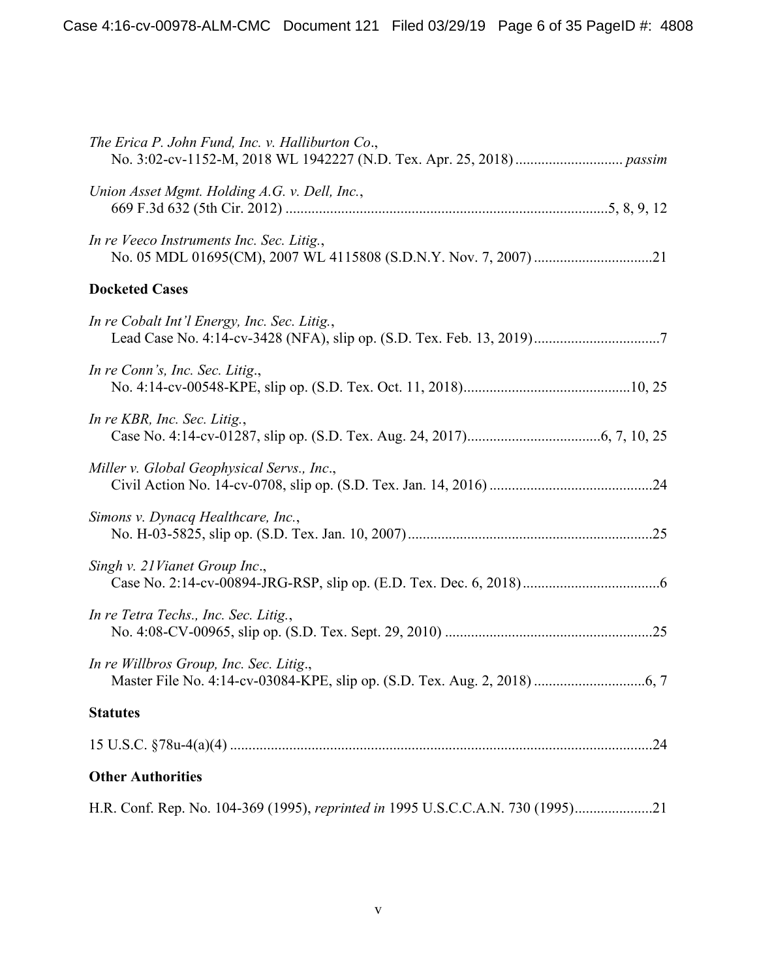| The Erica P. John Fund, Inc. v. Halliburton Co.,                                |
|---------------------------------------------------------------------------------|
| Union Asset Mgmt. Holding A.G. v. Dell, Inc.,                                   |
| In re Veeco Instruments Inc. Sec. Litig.,                                       |
| <b>Docketed Cases</b>                                                           |
| In re Cobalt Int'l Energy, Inc. Sec. Litig.,                                    |
| In re Conn's, Inc. Sec. Litig.,                                                 |
| In re KBR, Inc. Sec. Litig.,                                                    |
| Miller v. Global Geophysical Servs., Inc.,                                      |
| Simons v. Dynacq Healthcare, Inc.,                                              |
| Singh v. 21 Vianet Group Inc.,                                                  |
| In re Tetra Techs., Inc. Sec. Litig.,                                           |
| In re Willbros Group, Inc. Sec. Litig.,                                         |
| <b>Statutes</b>                                                                 |
| .24                                                                             |
| <b>Other Authorities</b>                                                        |
| H.R. Conf. Rep. No. 104-369 (1995), reprinted in 1995 U.S.C.C.A.N. 730 (1995)21 |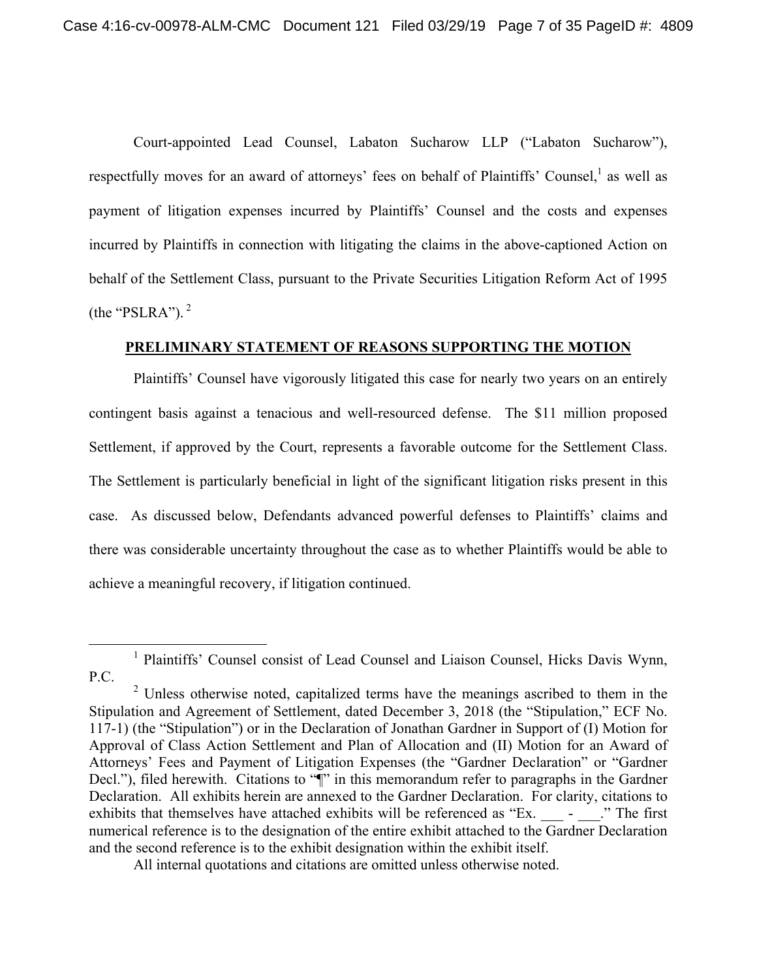Court-appointed Lead Counsel, Labaton Sucharow LLP ("Labaton Sucharow"), respectfully moves for an award of attorneys' fees on behalf of Plaintiffs' Counsel,<sup>1</sup> as well as payment of litigation expenses incurred by Plaintiffs' Counsel and the costs and expenses incurred by Plaintiffs in connection with litigating the claims in the above-captioned Action on behalf of the Settlement Class, pursuant to the Private Securities Litigation Reform Act of 1995 (the "PSLRA"). $<sup>2</sup>$ </sup>

## **PRELIMINARY STATEMENT OF REASONS SUPPORTING THE MOTION**

Plaintiffs' Counsel have vigorously litigated this case for nearly two years on an entirely contingent basis against a tenacious and well-resourced defense. The \$11 million proposed Settlement, if approved by the Court, represents a favorable outcome for the Settlement Class. The Settlement is particularly beneficial in light of the significant litigation risks present in this case. As discussed below, Defendants advanced powerful defenses to Plaintiffs' claims and there was considerable uncertainty throughout the case as to whether Plaintiffs would be able to achieve a meaningful recovery, if litigation continued.

All internal quotations and citations are omitted unless otherwise noted.

<sup>&</sup>lt;u>1</u> <sup>1</sup> Plaintiffs' Counsel consist of Lead Counsel and Liaison Counsel, Hicks Davis Wynn, P.C.

 $2$  Unless otherwise noted, capitalized terms have the meanings ascribed to them in the Stipulation and Agreement of Settlement, dated December 3, 2018 (the "Stipulation," ECF No. 117-1) (the "Stipulation") or in the Declaration of Jonathan Gardner in Support of (I) Motion for Approval of Class Action Settlement and Plan of Allocation and (II) Motion for an Award of Attorneys' Fees and Payment of Litigation Expenses (the "Gardner Declaration" or "Gardner Decl."), filed herewith. Citations to " $\mathbb{I}$ " in this memorandum refer to paragraphs in the Gardner Declaration. All exhibits herein are annexed to the Gardner Declaration. For clarity, citations to exhibits that themselves have attached exhibits will be referenced as "Ex.  $\qquad \qquad$  -  $\qquad$ ." The first numerical reference is to the designation of the entire exhibit attached to the Gardner Declaration and the second reference is to the exhibit designation within the exhibit itself.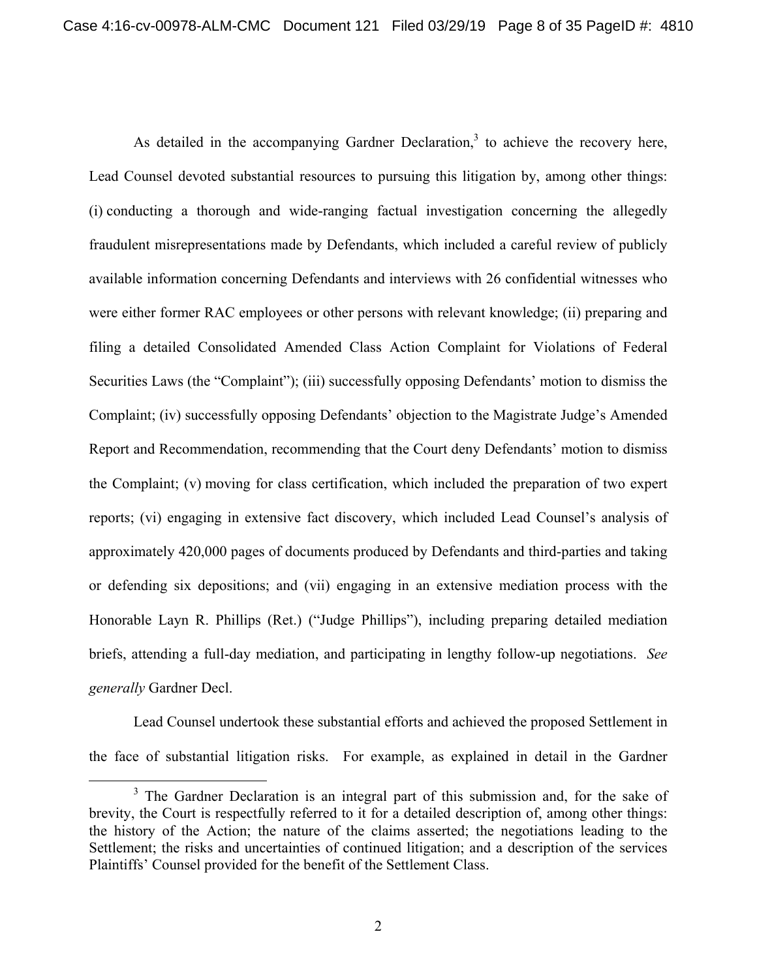As detailed in the accompanying Gardner Declaration, $3$  to achieve the recovery here, Lead Counsel devoted substantial resources to pursuing this litigation by, among other things: (i) conducting a thorough and wide-ranging factual investigation concerning the allegedly fraudulent misrepresentations made by Defendants, which included a careful review of publicly available information concerning Defendants and interviews with 26 confidential witnesses who were either former RAC employees or other persons with relevant knowledge; (ii) preparing and filing a detailed Consolidated Amended Class Action Complaint for Violations of Federal Securities Laws (the "Complaint"); (iii) successfully opposing Defendants' motion to dismiss the Complaint; (iv) successfully opposing Defendants' objection to the Magistrate Judge's Amended Report and Recommendation, recommending that the Court deny Defendants' motion to dismiss the Complaint; (v) moving for class certification, which included the preparation of two expert reports; (vi) engaging in extensive fact discovery, which included Lead Counsel's analysis of approximately 420,000 pages of documents produced by Defendants and third-parties and taking or defending six depositions; and (vii) engaging in an extensive mediation process with the Honorable Layn R. Phillips (Ret.) ("Judge Phillips"), including preparing detailed mediation briefs, attending a full-day mediation, and participating in lengthy follow-up negotiations. *See generally* Gardner Decl.

Lead Counsel undertook these substantial efforts and achieved the proposed Settlement in the face of substantial litigation risks. For example, as explained in detail in the Gardner

 $\frac{1}{3}$  $3$  The Gardner Declaration is an integral part of this submission and, for the sake of brevity, the Court is respectfully referred to it for a detailed description of, among other things: the history of the Action; the nature of the claims asserted; the negotiations leading to the Settlement; the risks and uncertainties of continued litigation; and a description of the services Plaintiffs' Counsel provided for the benefit of the Settlement Class.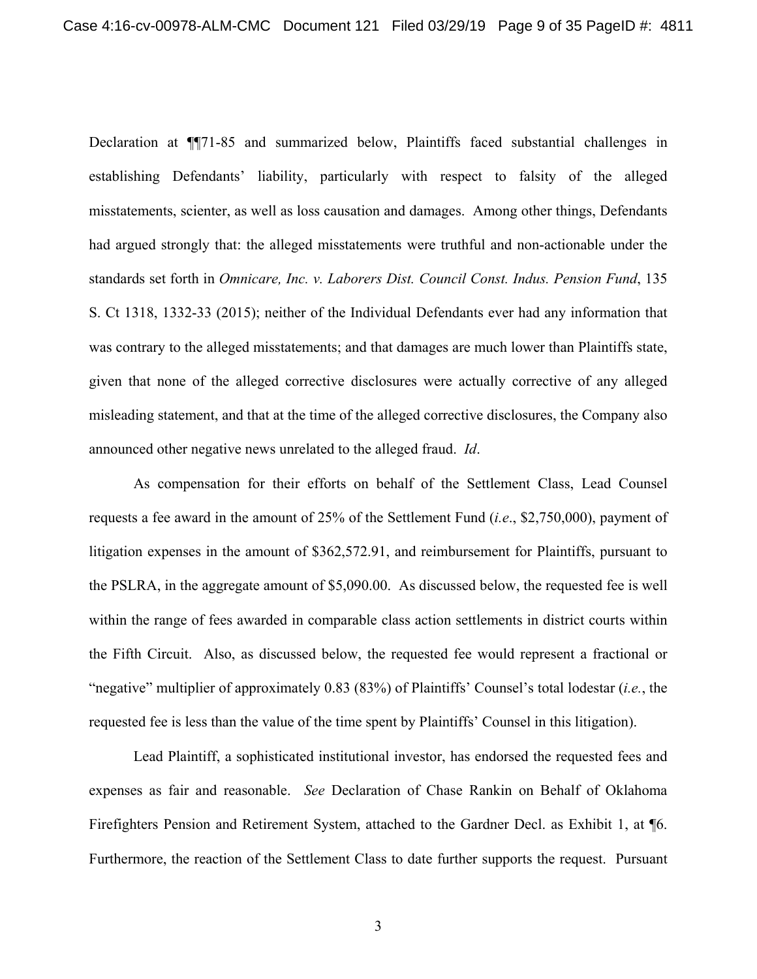Declaration at ¶¶71-85 and summarized below, Plaintiffs faced substantial challenges in establishing Defendants' liability, particularly with respect to falsity of the alleged misstatements, scienter, as well as loss causation and damages. Among other things, Defendants had argued strongly that: the alleged misstatements were truthful and non-actionable under the standards set forth in *Omnicare, Inc. v. Laborers Dist. Council Const. Indus. Pension Fund*, 135 S. Ct 1318, 1332-33 (2015); neither of the Individual Defendants ever had any information that was contrary to the alleged misstatements; and that damages are much lower than Plaintiffs state, given that none of the alleged corrective disclosures were actually corrective of any alleged misleading statement, and that at the time of the alleged corrective disclosures, the Company also announced other negative news unrelated to the alleged fraud. *Id*.

As compensation for their efforts on behalf of the Settlement Class, Lead Counsel requests a fee award in the amount of 25% of the Settlement Fund (*i.e*., \$2,750,000), payment of litigation expenses in the amount of \$362,572.91, and reimbursement for Plaintiffs, pursuant to the PSLRA, in the aggregate amount of \$5,090.00. As discussed below, the requested fee is well within the range of fees awarded in comparable class action settlements in district courts within the Fifth Circuit. Also, as discussed below, the requested fee would represent a fractional or "negative" multiplier of approximately 0.83 (83%) of Plaintiffs' Counsel's total lodestar (*i.e.*, the requested fee is less than the value of the time spent by Plaintiffs' Counsel in this litigation).

Lead Plaintiff, a sophisticated institutional investor, has endorsed the requested fees and expenses as fair and reasonable. *See* Declaration of Chase Rankin on Behalf of Oklahoma Firefighters Pension and Retirement System, attached to the Gardner Decl. as Exhibit 1, at ¶6. Furthermore, the reaction of the Settlement Class to date further supports the request. Pursuant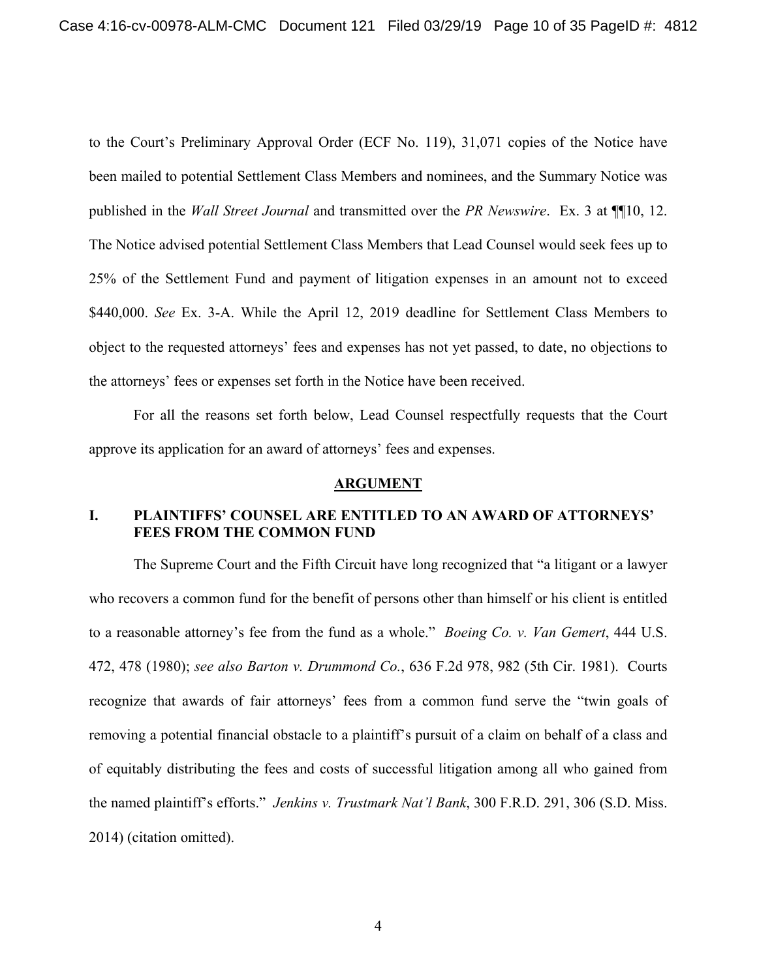to the Court's Preliminary Approval Order (ECF No. 119), 31,071 copies of the Notice have been mailed to potential Settlement Class Members and nominees, and the Summary Notice was published in the *Wall Street Journal* and transmitted over the *PR Newswire*. Ex. 3 at ¶¶10, 12. The Notice advised potential Settlement Class Members that Lead Counsel would seek fees up to 25% of the Settlement Fund and payment of litigation expenses in an amount not to exceed \$440,000. *See* Ex. 3-A. While the April 12, 2019 deadline for Settlement Class Members to object to the requested attorneys' fees and expenses has not yet passed, to date, no objections to the attorneys' fees or expenses set forth in the Notice have been received.

For all the reasons set forth below, Lead Counsel respectfully requests that the Court approve its application for an award of attorneys' fees and expenses.

#### **ARGUMENT**

## **I. PLAINTIFFS' COUNSEL ARE ENTITLED TO AN AWARD OF ATTORNEYS' FEES FROM THE COMMON FUND**

The Supreme Court and the Fifth Circuit have long recognized that "a litigant or a lawyer who recovers a common fund for the benefit of persons other than himself or his client is entitled to a reasonable attorney's fee from the fund as a whole." *Boeing Co. v. Van Gemert*, 444 U.S. 472, 478 (1980); *see also Barton v. Drummond Co.*, 636 F.2d 978, 982 (5th Cir. 1981). Courts recognize that awards of fair attorneys' fees from a common fund serve the "twin goals of removing a potential financial obstacle to a plaintiff's pursuit of a claim on behalf of a class and of equitably distributing the fees and costs of successful litigation among all who gained from the named plaintiff's efforts." *Jenkins v. Trustmark Nat'l Bank*, 300 F.R.D. 291, 306 (S.D. Miss. 2014) (citation omitted).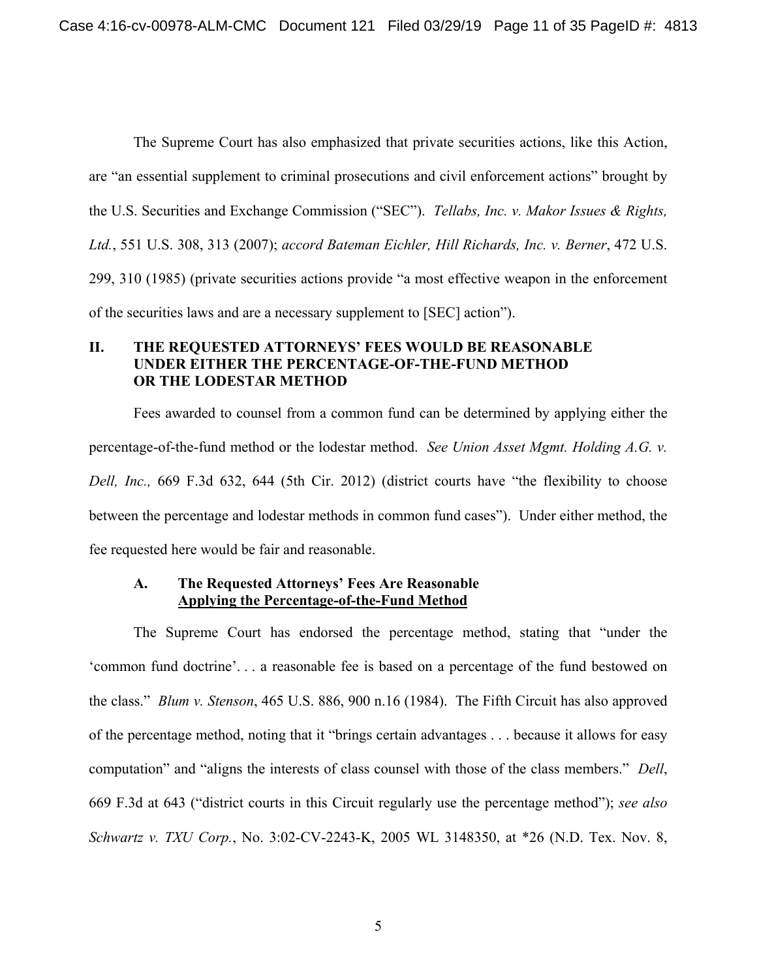The Supreme Court has also emphasized that private securities actions, like this Action, are "an essential supplement to criminal prosecutions and civil enforcement actions" brought by the U.S. Securities and Exchange Commission ("SEC"). *Tellabs, Inc. v. Makor Issues & Rights, Ltd.*, 551 U.S. 308, 313 (2007); *accord Bateman Eichler, Hill Richards, Inc. v. Berner*, 472 U.S. 299, 310 (1985) (private securities actions provide "a most effective weapon in the enforcement of the securities laws and are a necessary supplement to [SEC] action").

## **II. THE REQUESTED ATTORNEYS' FEES WOULD BE REASONABLE UNDER EITHER THE PERCENTAGE-OF-THE-FUND METHOD OR THE LODESTAR METHOD**

Fees awarded to counsel from a common fund can be determined by applying either the percentage-of-the-fund method or the lodestar method. *See Union Asset Mgmt. Holding A.G. v. Dell, Inc.,* 669 F.3d 632, 644 (5th Cir. 2012) (district courts have "the flexibility to choose between the percentage and lodestar methods in common fund cases"). Under either method, the fee requested here would be fair and reasonable.

### **A. The Requested Attorneys' Fees Are Reasonable Applying the Percentage-of-the-Fund Method**

The Supreme Court has endorsed the percentage method, stating that "under the 'common fund doctrine'. . . a reasonable fee is based on a percentage of the fund bestowed on the class." *Blum v. Stenson*, 465 U.S. 886, 900 n.16 (1984). The Fifth Circuit has also approved of the percentage method, noting that it "brings certain advantages . . . because it allows for easy computation" and "aligns the interests of class counsel with those of the class members." *Dell*, 669 F.3d at 643 ("district courts in this Circuit regularly use the percentage method"); *see also Schwartz v. TXU Corp.*, No. 3:02-CV-2243-K, 2005 WL 3148350, at \*26 (N.D. Tex. Nov. 8,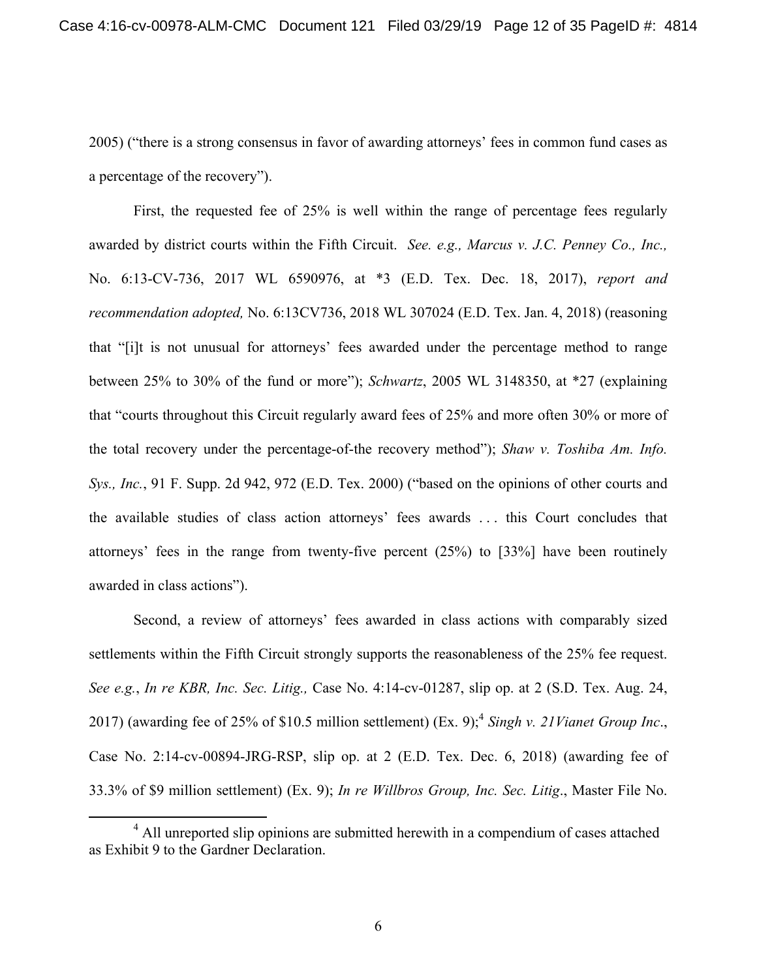2005) ("there is a strong consensus in favor of awarding attorneys' fees in common fund cases as a percentage of the recovery").

First, the requested fee of 25% is well within the range of percentage fees regularly awarded by district courts within the Fifth Circuit. *See. e.g., Marcus v. J.C. Penney Co., Inc.,*  No. 6:13-CV-736, 2017 WL 6590976, at \*3 (E.D. Tex. Dec. 18, 2017), *report and recommendation adopted,* No. 6:13CV736, 2018 WL 307024 (E.D. Tex. Jan. 4, 2018) (reasoning that "[i]t is not unusual for attorneys' fees awarded under the percentage method to range between 25% to 30% of the fund or more"); *Schwartz*, 2005 WL 3148350, at \*27 (explaining that "courts throughout this Circuit regularly award fees of 25% and more often 30% or more of the total recovery under the percentage-of-the recovery method"); *Shaw v. Toshiba Am. Info. Sys., Inc.*, 91 F. Supp. 2d 942, 972 (E.D. Tex. 2000) ("based on the opinions of other courts and the available studies of class action attorneys' fees awards . . . this Court concludes that attorneys' fees in the range from twenty-five percent (25%) to [33%] have been routinely awarded in class actions").

Second, a review of attorneys' fees awarded in class actions with comparably sized settlements within the Fifth Circuit strongly supports the reasonableness of the 25% fee request. *See e.g.*, *In re KBR, Inc. Sec. Litig.,* Case No. 4:14-cv-01287, slip op. at 2 (S.D. Tex. Aug. 24, 2017) (awarding fee of 25% of \$10.5 million settlement) (Ex. 9);<sup>4</sup> *Singh v. 21Vianet Group Inc.*, Case No. 2:14-cv-00894-JRG-RSP, slip op. at 2 (E.D. Tex. Dec. 6, 2018) (awarding fee of 33.3% of \$9 million settlement) (Ex. 9); *In re Willbros Group, Inc. Sec. Litig*., Master File No.

 $\overline{4}$ <sup>4</sup> All unreported slip opinions are submitted herewith in a compendium of cases attached as Exhibit 9 to the Gardner Declaration.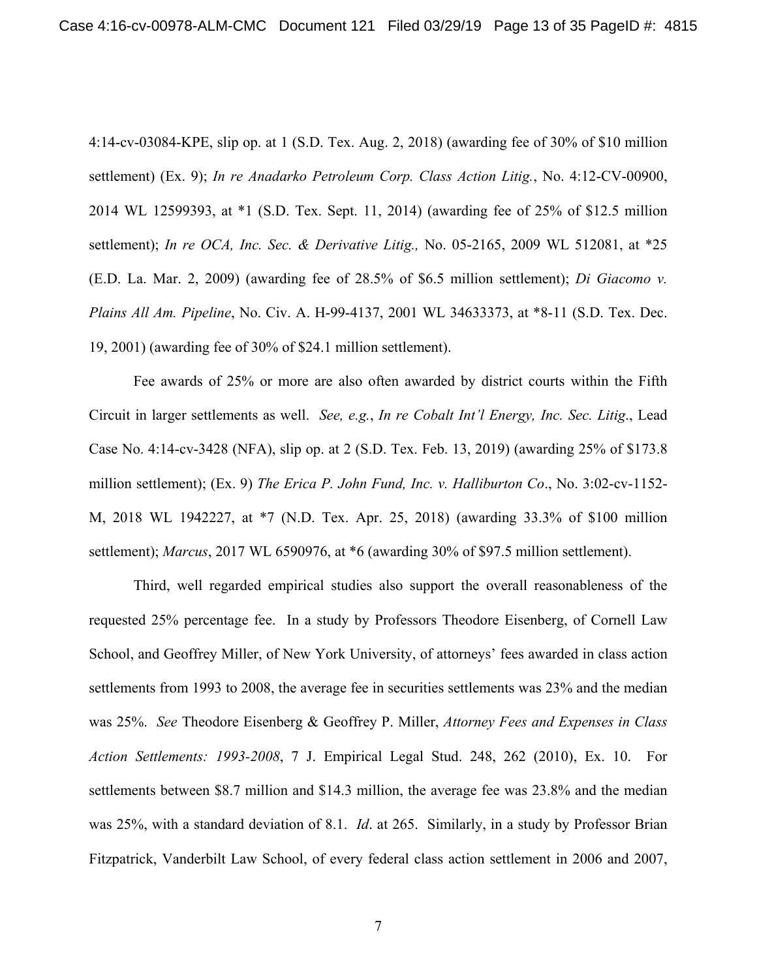4:14-cv-03084-KPE, slip op. at 1 (S.D. Tex. Aug. 2, 2018) (awarding fee of 30% of \$10 million settlement) (Ex. 9); *In re Anadarko Petroleum Corp. Class Action Litig.*, No. 4:12-CV-00900, 2014 WL 12599393, at \*1 (S.D. Tex. Sept. 11, 2014) (awarding fee of 25% of \$12.5 million settlement); *In re OCA, Inc. Sec. & Derivative Litig.,* No. 05-2165, 2009 WL 512081, at \*25 (E.D. La. Mar. 2, 2009) (awarding fee of 28.5% of \$6.5 million settlement); *Di Giacomo v. Plains All Am. Pipeline*, No. Civ. A. H-99-4137, 2001 WL 34633373, at \*8-11 (S.D. Tex. Dec. 19, 2001) (awarding fee of 30% of \$24.1 million settlement).

Fee awards of 25% or more are also often awarded by district courts within the Fifth Circuit in larger settlements as well. *See, e.g.*, *In re Cobalt Int'l Energy, Inc. Sec. Litig*., Lead Case No. 4:14-cv-3428 (NFA), slip op. at 2 (S.D. Tex. Feb. 13, 2019) (awarding 25% of \$173.8 million settlement); (Ex. 9) *The Erica P. John Fund, Inc. v. Halliburton Co*., No. 3:02-cv-1152- M, 2018 WL 1942227, at \*7 (N.D. Tex. Apr. 25, 2018) (awarding 33.3% of \$100 million settlement); *Marcus*, 2017 WL 6590976, at \*6 (awarding 30% of \$97.5 million settlement).

Third, well regarded empirical studies also support the overall reasonableness of the requested 25% percentage fee. In a study by Professors Theodore Eisenberg, of Cornell Law School, and Geoffrey Miller, of New York University, of attorneys' fees awarded in class action settlements from 1993 to 2008, the average fee in securities settlements was 23% and the median was 25%. *See* Theodore Eisenberg & Geoffrey P. Miller, *Attorney Fees and Expenses in Class Action Settlements: 1993-2008*, 7 J. Empirical Legal Stud. 248, 262 (2010), Ex. 10. For settlements between \$8.7 million and \$14.3 million, the average fee was 23.8% and the median was 25%, with a standard deviation of 8.1. *Id*. at 265. Similarly, in a study by Professor Brian Fitzpatrick, Vanderbilt Law School, of every federal class action settlement in 2006 and 2007,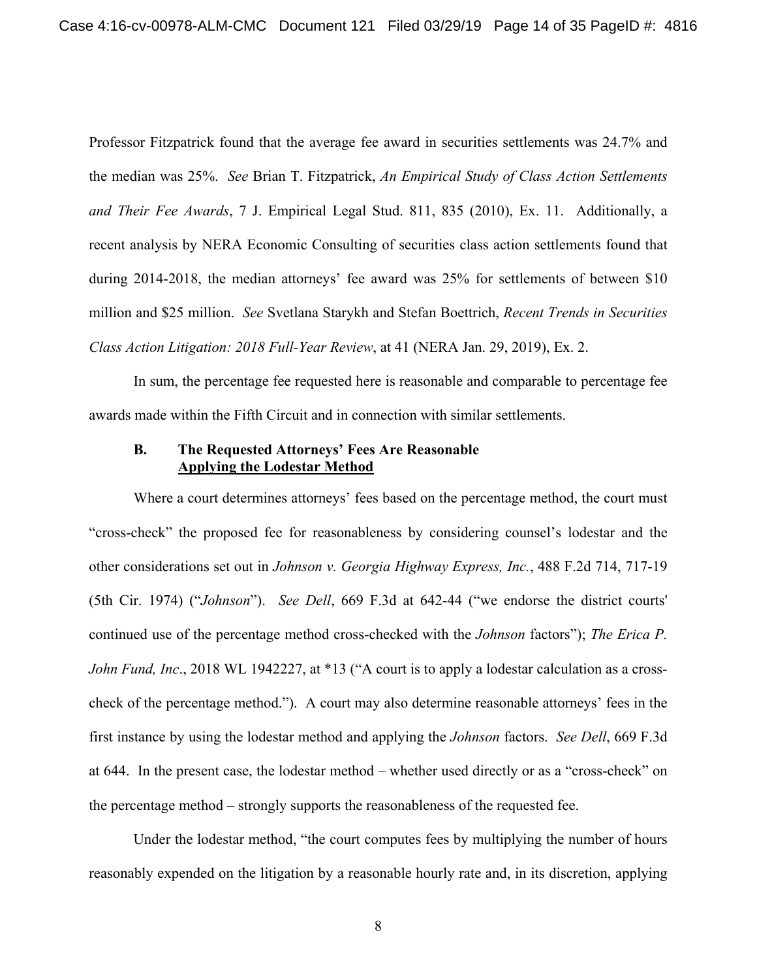Professor Fitzpatrick found that the average fee award in securities settlements was 24.7% and the median was 25%. *See* Brian T. Fitzpatrick, *An Empirical Study of Class Action Settlements and Their Fee Awards*, 7 J. Empirical Legal Stud. 811, 835 (2010), Ex. 11. Additionally, a recent analysis by NERA Economic Consulting of securities class action settlements found that during 2014-2018, the median attorneys' fee award was 25% for settlements of between \$10 million and \$25 million. *See* Svetlana Starykh and Stefan Boettrich, *Recent Trends in Securities Class Action Litigation: 2018 Full-Year Review*, at 41 (NERA Jan. 29, 2019), Ex. 2.

In sum, the percentage fee requested here is reasonable and comparable to percentage fee awards made within the Fifth Circuit and in connection with similar settlements.

## **B. The Requested Attorneys' Fees Are Reasonable Applying the Lodestar Method**

Where a court determines attorneys' fees based on the percentage method, the court must "cross-check" the proposed fee for reasonableness by considering counsel's lodestar and the other considerations set out in *Johnson v. Georgia Highway Express, Inc.*, 488 F.2d 714, 717-19 (5th Cir. 1974) ("*Johnson*"). *See Dell*, 669 F.3d at 642-44 ("we endorse the district courts' continued use of the percentage method cross-checked with the *Johnson* factors"); *The Erica P. John Fund, Inc*., 2018 WL 1942227, at \*13 ("A court is to apply a lodestar calculation as a crosscheck of the percentage method."). A court may also determine reasonable attorneys' fees in the first instance by using the lodestar method and applying the *Johnson* factors. *See Dell*, 669 F.3d at 644. In the present case, the lodestar method – whether used directly or as a "cross-check" on the percentage method – strongly supports the reasonableness of the requested fee.

Under the lodestar method, "the court computes fees by multiplying the number of hours reasonably expended on the litigation by a reasonable hourly rate and, in its discretion, applying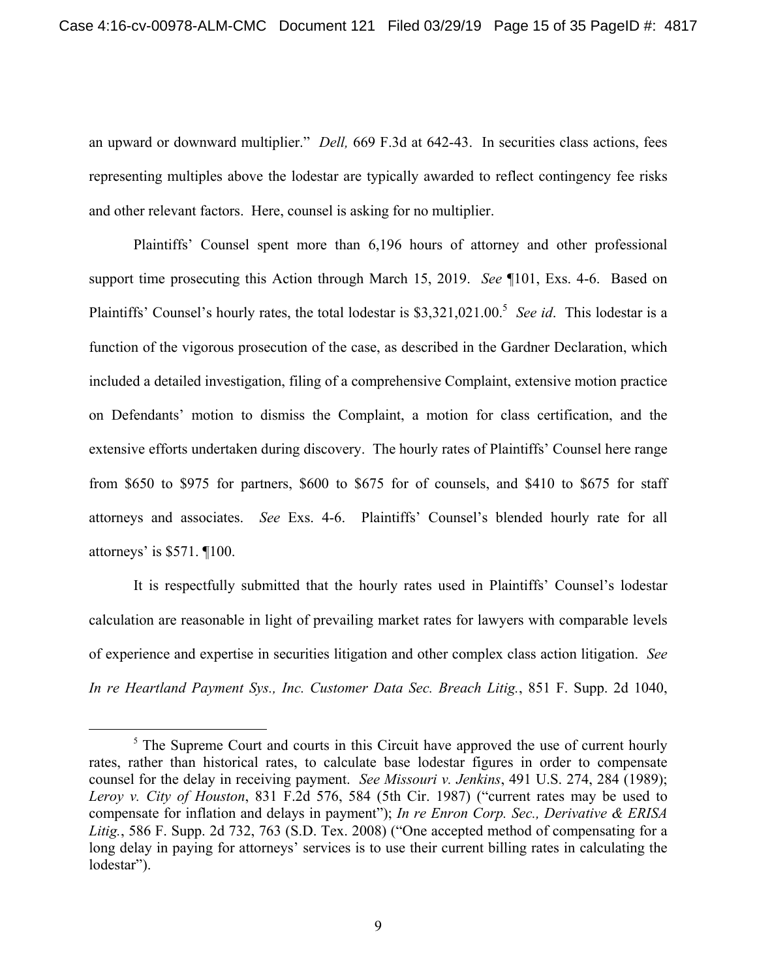an upward or downward multiplier." *Dell,* 669 F.3d at 642-43. In securities class actions, fees representing multiples above the lodestar are typically awarded to reflect contingency fee risks and other relevant factors. Here, counsel is asking for no multiplier.

Plaintiffs' Counsel spent more than 6,196 hours of attorney and other professional support time prosecuting this Action through March 15, 2019. *See* ¶101, Exs. 4-6. Based on Plaintiffs' Counsel's hourly rates, the total lodestar is \$3,321,021.00.<sup>5</sup> See id. This lodestar is a function of the vigorous prosecution of the case, as described in the Gardner Declaration, which included a detailed investigation, filing of a comprehensive Complaint, extensive motion practice on Defendants' motion to dismiss the Complaint, a motion for class certification, and the extensive efforts undertaken during discovery. The hourly rates of Plaintiffs' Counsel here range from \$650 to \$975 for partners, \$600 to \$675 for of counsels, and \$410 to \$675 for staff attorneys and associates. *See* Exs. 4-6. Plaintiffs' Counsel's blended hourly rate for all attorneys' is \$571. ¶100.

It is respectfully submitted that the hourly rates used in Plaintiffs' Counsel's lodestar calculation are reasonable in light of prevailing market rates for lawyers with comparable levels of experience and expertise in securities litigation and other complex class action litigation. *See In re Heartland Payment Sys., Inc. Customer Data Sec. Breach Litig.*, 851 F. Supp. 2d 1040,

 $5$  The Supreme Court and courts in this Circuit have approved the use of current hourly rates, rather than historical rates, to calculate base lodestar figures in order to compensate counsel for the delay in receiving payment. *See Missouri v. Jenkins*, 491 U.S. 274, 284 (1989); *Leroy v. City of Houston*, 831 F.2d 576, 584 (5th Cir. 1987) ("current rates may be used to compensate for inflation and delays in payment"); *In re Enron Corp. Sec., Derivative & ERISA Litig.*, 586 F. Supp. 2d 732, 763 (S.D. Tex. 2008) ("One accepted method of compensating for a long delay in paying for attorneys' services is to use their current billing rates in calculating the lodestar").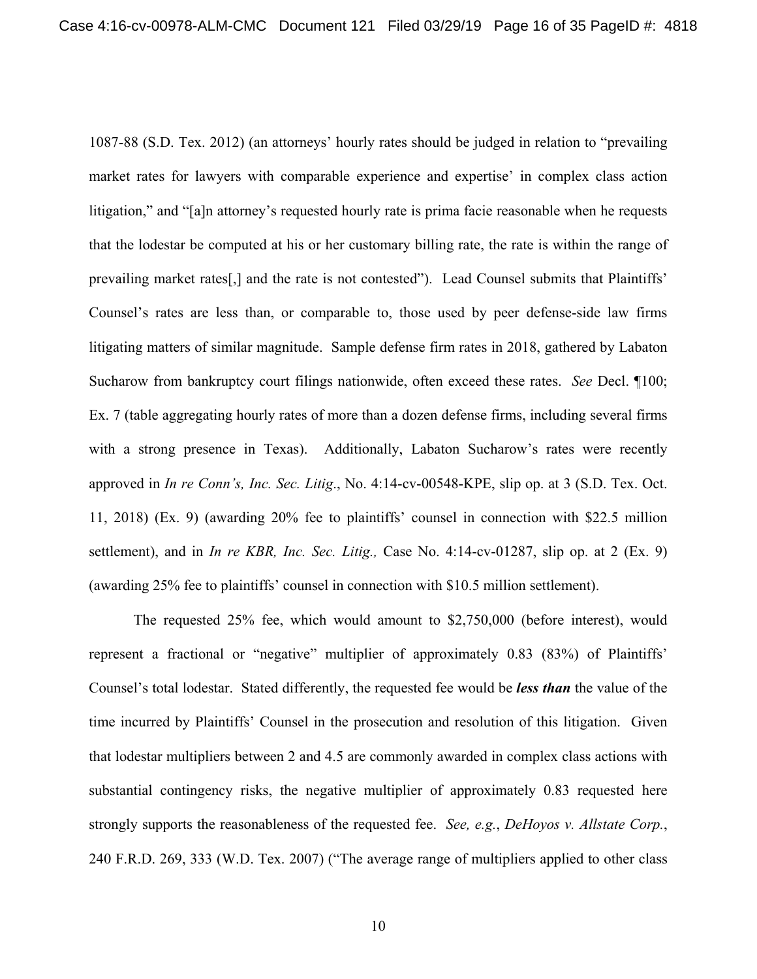1087-88 (S.D. Tex. 2012) (an attorneys' hourly rates should be judged in relation to "prevailing market rates for lawyers with comparable experience and expertise' in complex class action litigation," and "[a]n attorney's requested hourly rate is prima facie reasonable when he requests that the lodestar be computed at his or her customary billing rate, the rate is within the range of prevailing market rates[,] and the rate is not contested"). Lead Counsel submits that Plaintiffs' Counsel's rates are less than, or comparable to, those used by peer defense-side law firms litigating matters of similar magnitude. Sample defense firm rates in 2018, gathered by Labaton Sucharow from bankruptcy court filings nationwide, often exceed these rates. *See* Decl. ¶100; Ex. 7 (table aggregating hourly rates of more than a dozen defense firms, including several firms with a strong presence in Texas). Additionally, Labaton Sucharow's rates were recently approved in *In re Conn's, Inc. Sec. Litig*., No. 4:14-cv-00548-KPE, slip op. at 3 (S.D. Tex. Oct. 11, 2018) (Ex. 9) (awarding 20% fee to plaintiffs' counsel in connection with \$22.5 million settlement), and in *In re KBR, Inc. Sec. Litig.,* Case No. 4:14-cv-01287, slip op. at 2 (Ex. 9) (awarding 25% fee to plaintiffs' counsel in connection with \$10.5 million settlement).

The requested 25% fee, which would amount to \$2,750,000 (before interest), would represent a fractional or "negative" multiplier of approximately 0.83 (83%) of Plaintiffs' Counsel's total lodestar. Stated differently, the requested fee would be *less than* the value of the time incurred by Plaintiffs' Counsel in the prosecution and resolution of this litigation. Given that lodestar multipliers between 2 and 4.5 are commonly awarded in complex class actions with substantial contingency risks, the negative multiplier of approximately 0.83 requested here strongly supports the reasonableness of the requested fee. *See, e.g.*, *DeHoyos v. Allstate Corp.*, 240 F.R.D. 269, 333 (W.D. Tex. 2007) ("The average range of multipliers applied to other class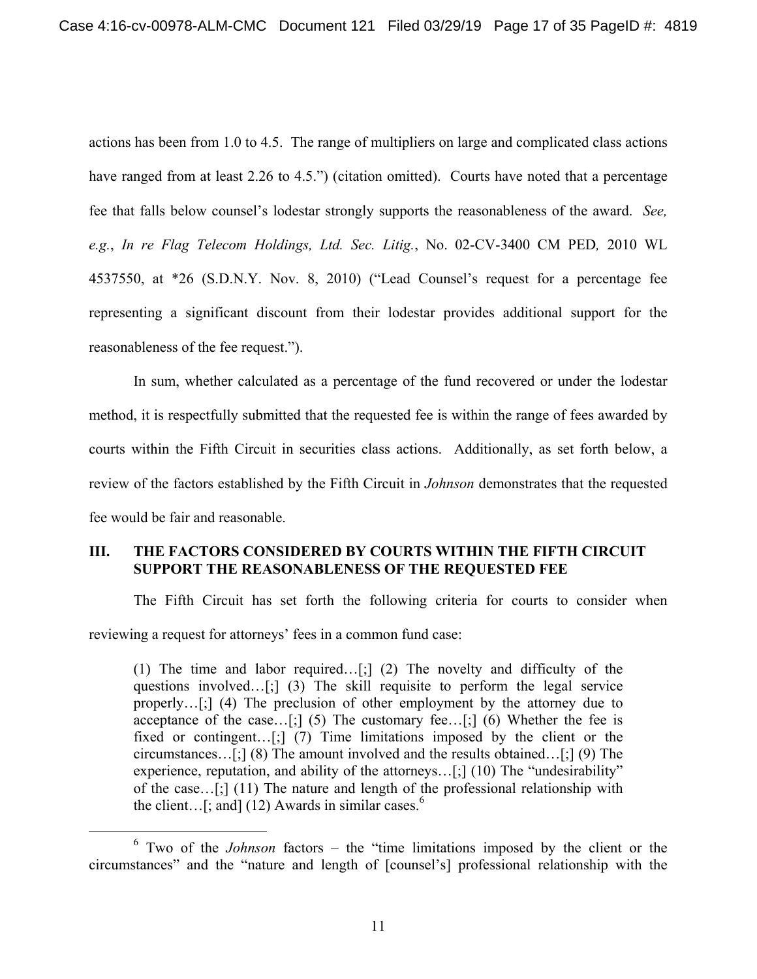actions has been from 1.0 to 4.5. The range of multipliers on large and complicated class actions have ranged from at least 2.26 to 4.5.") (citation omitted). Courts have noted that a percentage fee that falls below counsel's lodestar strongly supports the reasonableness of the award. *See, e.g.*, *In re Flag Telecom Holdings, Ltd. Sec. Litig.*, No. 02-CV-3400 CM PED*,* 2010 WL 4537550, at \*26 (S.D.N.Y. Nov. 8, 2010) ("Lead Counsel's request for a percentage fee representing a significant discount from their lodestar provides additional support for the reasonableness of the fee request.").

In sum, whether calculated as a percentage of the fund recovered or under the lodestar method, it is respectfully submitted that the requested fee is within the range of fees awarded by courts within the Fifth Circuit in securities class actions. Additionally, as set forth below, a review of the factors established by the Fifth Circuit in *Johnson* demonstrates that the requested fee would be fair and reasonable.

## **III. THE FACTORS CONSIDERED BY COURTS WITHIN THE FIFTH CIRCUIT SUPPORT THE REASONABLENESS OF THE REQUESTED FEE**

The Fifth Circuit has set forth the following criteria for courts to consider when reviewing a request for attorneys' fees in a common fund case:

(1) The time and labor required…[;] (2) The novelty and difficulty of the questions involved…[;] (3) The skill requisite to perform the legal service properly…[;] (4) The preclusion of other employment by the attorney due to acceptance of the case…[;] (5) The customary fee…[;] (6) Whether the fee is fixed or contingent...[;] (7) Time limitations imposed by the client or the circumstances…[;] (8) The amount involved and the results obtained…[;] (9) The experience, reputation, and ability of the attorneys...[;] (10) The "undesirability" of the case…[;] (11) The nature and length of the professional relationship with the client...[; and] (12) Awards in similar cases.<sup>6</sup>

 <sup>6</sup> Two of the *Johnson* factors – the "time limitations imposed by the client or the circumstances" and the "nature and length of [counsel's] professional relationship with the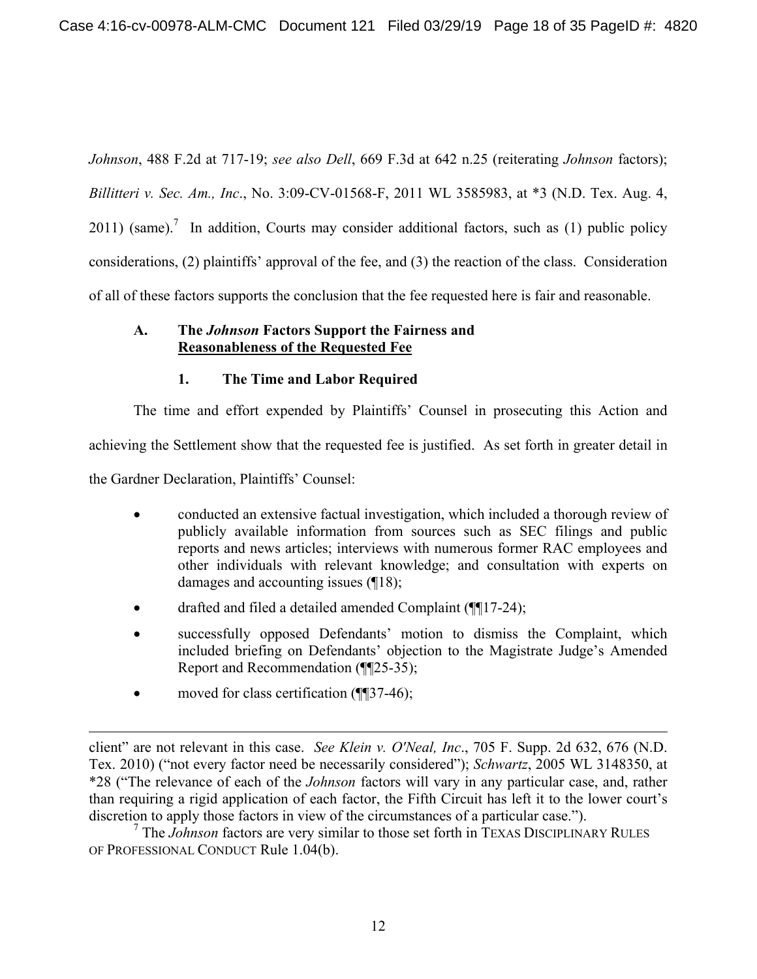*Johnson*, 488 F.2d at 717-19; *see also Dell*, 669 F.3d at 642 n.25 (reiterating *Johnson* factors); *Billitteri v. Sec. Am., Inc*., No. 3:09-CV-01568-F, 2011 WL 3585983, at \*3 (N.D. Tex. Aug. 4,  $2011$ ) (same).<sup>7</sup> In addition, Courts may consider additional factors, such as (1) public policy considerations, (2) plaintiffs' approval of the fee, and (3) the reaction of the class. Consideration of all of these factors supports the conclusion that the fee requested here is fair and reasonable.

## **A. The** *Johnson* **Factors Support the Fairness and Reasonableness of the Requested Fee**

# **1. The Time and Labor Required**

The time and effort expended by Plaintiffs' Counsel in prosecuting this Action and achieving the Settlement show that the requested fee is justified. As set forth in greater detail in the Gardner Declaration, Plaintiffs' Counsel:

- conducted an extensive factual investigation, which included a thorough review of publicly available information from sources such as SEC filings and public reports and news articles; interviews with numerous former RAC employees and other individuals with relevant knowledge; and consultation with experts on damages and accounting issues (¶18);
- drafted and filed a detailed amended Complaint (¶¶17-24);
- successfully opposed Defendants' motion to dismiss the Complaint, which included briefing on Defendants' objection to the Magistrate Judge's Amended Report and Recommendation (¶¶25-35);
- moved for class certification (¶¶37-46);

 $\overline{a}$ 

7 The *Johnson* factors are very similar to those set forth in TEXAS DISCIPLINARY RULES OF PROFESSIONAL CONDUCT Rule 1.04(b).

client" are not relevant in this case. *See Klein v. O'Neal, Inc*., 705 F. Supp. 2d 632, 676 (N.D. Tex. 2010) ("not every factor need be necessarily considered"); *Schwartz*, 2005 WL 3148350, at \*28 ("The relevance of each of the *Johnson* factors will vary in any particular case, and, rather than requiring a rigid application of each factor, the Fifth Circuit has left it to the lower court's discretion to apply those factors in view of the circumstances of a particular case.").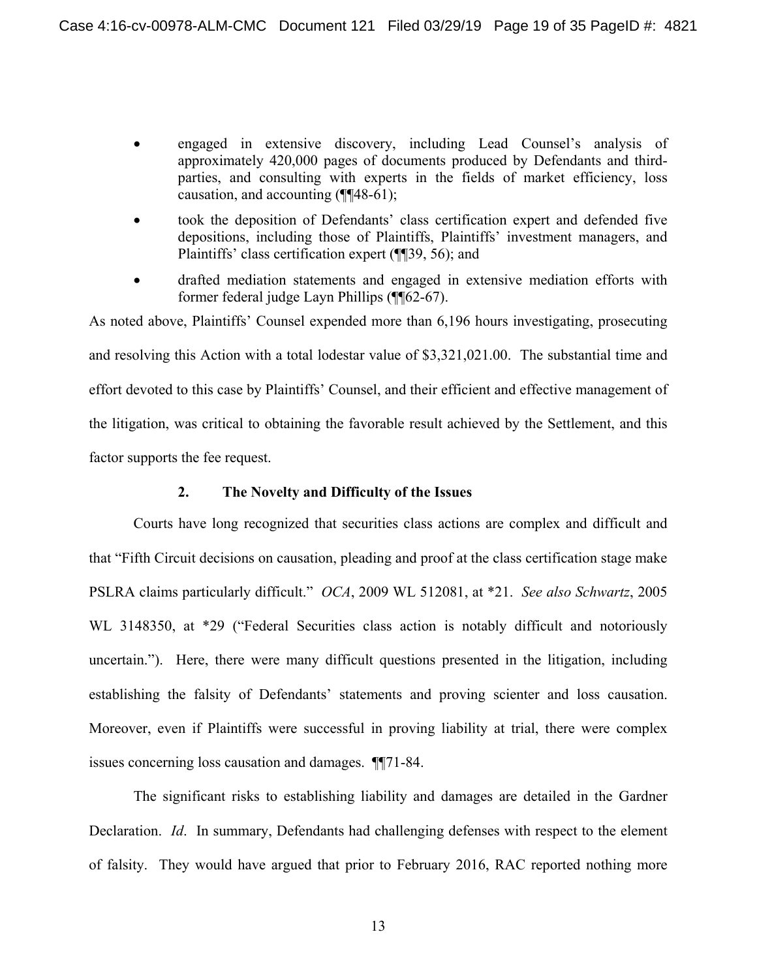- engaged in extensive discovery, including Lead Counsel's analysis of approximately 420,000 pages of documents produced by Defendants and thirdparties, and consulting with experts in the fields of market efficiency, loss causation, and accounting (¶¶48-61);
- took the deposition of Defendants' class certification expert and defended five depositions, including those of Plaintiffs, Plaintiffs' investment managers, and Plaintiffs' class certification expert (¶¶39, 56); and
- drafted mediation statements and engaged in extensive mediation efforts with former federal judge Layn Phillips (¶¶62-67).

As noted above, Plaintiffs' Counsel expended more than 6,196 hours investigating, prosecuting and resolving this Action with a total lodestar value of \$3,321,021.00. The substantial time and effort devoted to this case by Plaintiffs' Counsel, and their efficient and effective management of the litigation, was critical to obtaining the favorable result achieved by the Settlement, and this factor supports the fee request.

### **2. The Novelty and Difficulty of the Issues**

Courts have long recognized that securities class actions are complex and difficult and that "Fifth Circuit decisions on causation, pleading and proof at the class certification stage make PSLRA claims particularly difficult." *OCA*, 2009 WL 512081, at \*21. *See also Schwartz*, 2005 WL 3148350, at \*29 ("Federal Securities class action is notably difficult and notoriously uncertain."). Here, there were many difficult questions presented in the litigation, including establishing the falsity of Defendants' statements and proving scienter and loss causation. Moreover, even if Plaintiffs were successful in proving liability at trial, there were complex issues concerning loss causation and damages. ¶¶71-84.

The significant risks to establishing liability and damages are detailed in the Gardner Declaration. *Id*. In summary, Defendants had challenging defenses with respect to the element of falsity. They would have argued that prior to February 2016, RAC reported nothing more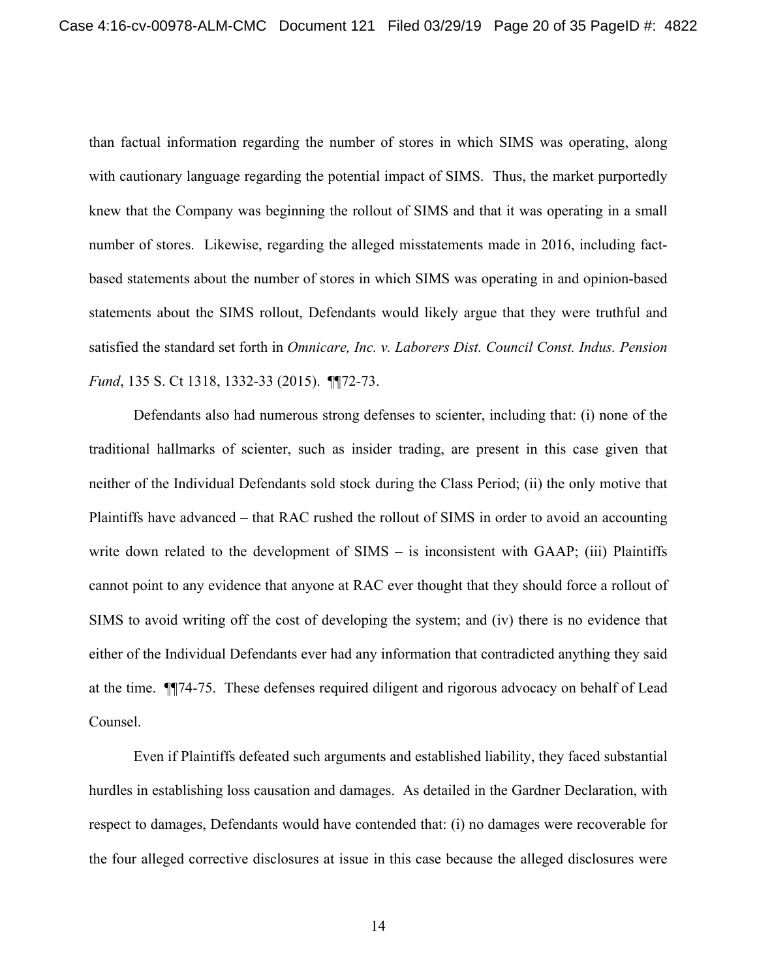than factual information regarding the number of stores in which SIMS was operating, along with cautionary language regarding the potential impact of SIMS. Thus, the market purportedly knew that the Company was beginning the rollout of SIMS and that it was operating in a small number of stores. Likewise, regarding the alleged misstatements made in 2016, including factbased statements about the number of stores in which SIMS was operating in and opinion-based statements about the SIMS rollout, Defendants would likely argue that they were truthful and satisfied the standard set forth in *Omnicare, Inc. v. Laborers Dist. Council Const. Indus. Pension Fund*, 135 S. Ct 1318, 1332-33 (2015). ¶¶72-73.

Defendants also had numerous strong defenses to scienter, including that: (i) none of the traditional hallmarks of scienter, such as insider trading, are present in this case given that neither of the Individual Defendants sold stock during the Class Period; (ii) the only motive that Plaintiffs have advanced – that RAC rushed the rollout of SIMS in order to avoid an accounting write down related to the development of SIMS – is inconsistent with GAAP; (iii) Plaintiffs cannot point to any evidence that anyone at RAC ever thought that they should force a rollout of SIMS to avoid writing off the cost of developing the system; and (iv) there is no evidence that either of the Individual Defendants ever had any information that contradicted anything they said at the time. ¶¶74-75. These defenses required diligent and rigorous advocacy on behalf of Lead Counsel.

Even if Plaintiffs defeated such arguments and established liability, they faced substantial hurdles in establishing loss causation and damages. As detailed in the Gardner Declaration, with respect to damages, Defendants would have contended that: (i) no damages were recoverable for the four alleged corrective disclosures at issue in this case because the alleged disclosures were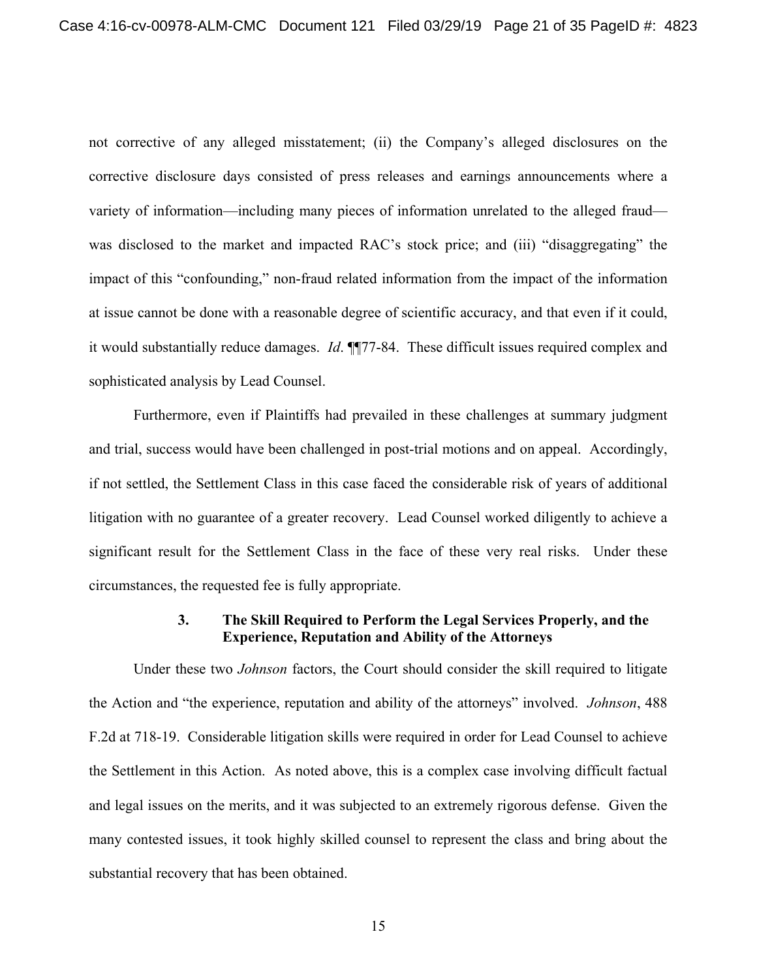not corrective of any alleged misstatement; (ii) the Company's alleged disclosures on the corrective disclosure days consisted of press releases and earnings announcements where a variety of information—including many pieces of information unrelated to the alleged fraud was disclosed to the market and impacted RAC's stock price; and (iii) "disaggregating" the impact of this "confounding," non-fraud related information from the impact of the information at issue cannot be done with a reasonable degree of scientific accuracy, and that even if it could, it would substantially reduce damages. *Id*. ¶¶77-84. These difficult issues required complex and sophisticated analysis by Lead Counsel.

Furthermore, even if Plaintiffs had prevailed in these challenges at summary judgment and trial, success would have been challenged in post-trial motions and on appeal. Accordingly, if not settled, the Settlement Class in this case faced the considerable risk of years of additional litigation with no guarantee of a greater recovery. Lead Counsel worked diligently to achieve a significant result for the Settlement Class in the face of these very real risks. Under these circumstances, the requested fee is fully appropriate.

## **3. The Skill Required to Perform the Legal Services Properly, and the Experience, Reputation and Ability of the Attorneys**

Under these two *Johnson* factors, the Court should consider the skill required to litigate the Action and "the experience, reputation and ability of the attorneys" involved. *Johnson*, 488 F.2d at 718-19. Considerable litigation skills were required in order for Lead Counsel to achieve the Settlement in this Action. As noted above, this is a complex case involving difficult factual and legal issues on the merits, and it was subjected to an extremely rigorous defense. Given the many contested issues, it took highly skilled counsel to represent the class and bring about the substantial recovery that has been obtained.

15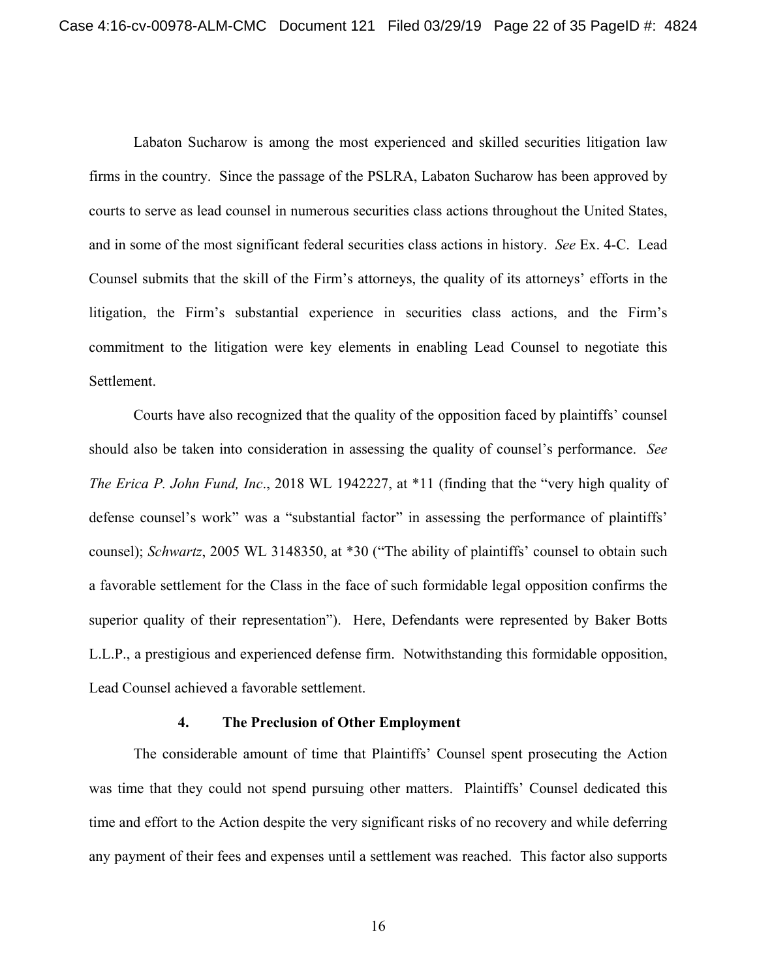Labaton Sucharow is among the most experienced and skilled securities litigation law firms in the country. Since the passage of the PSLRA, Labaton Sucharow has been approved by courts to serve as lead counsel in numerous securities class actions throughout the United States, and in some of the most significant federal securities class actions in history. *See* Ex. 4-C. Lead Counsel submits that the skill of the Firm's attorneys, the quality of its attorneys' efforts in the litigation, the Firm's substantial experience in securities class actions, and the Firm's commitment to the litigation were key elements in enabling Lead Counsel to negotiate this Settlement.

Courts have also recognized that the quality of the opposition faced by plaintiffs' counsel should also be taken into consideration in assessing the quality of counsel's performance. *See The Erica P. John Fund, Inc*., 2018 WL 1942227, at \*11 (finding that the "very high quality of defense counsel's work" was a "substantial factor" in assessing the performance of plaintiffs' counsel); *Schwartz*, 2005 WL 3148350, at \*30 ("The ability of plaintiffs' counsel to obtain such a favorable settlement for the Class in the face of such formidable legal opposition confirms the superior quality of their representation"). Here, Defendants were represented by Baker Botts L.L.P., a prestigious and experienced defense firm. Notwithstanding this formidable opposition, Lead Counsel achieved a favorable settlement.

#### **4. The Preclusion of Other Employment**

The considerable amount of time that Plaintiffs' Counsel spent prosecuting the Action was time that they could not spend pursuing other matters. Plaintiffs' Counsel dedicated this time and effort to the Action despite the very significant risks of no recovery and while deferring any payment of their fees and expenses until a settlement was reached. This factor also supports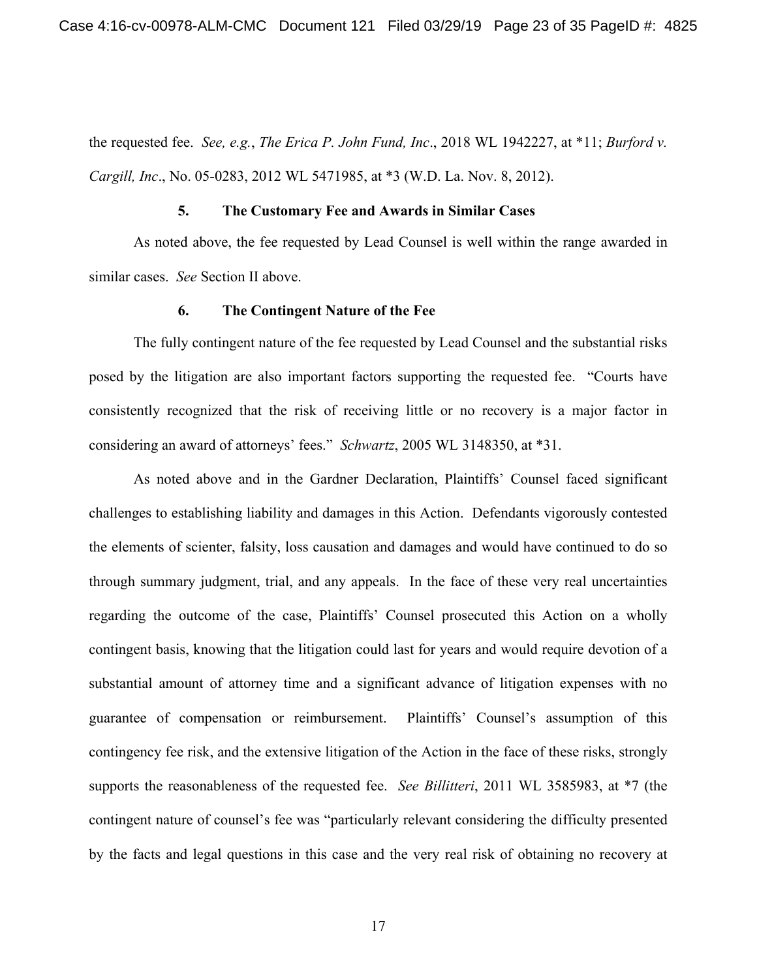the requested fee. *See, e.g.*, *The Erica P. John Fund, Inc*., 2018 WL 1942227, at \*11; *Burford v. Cargill, Inc*., No. 05-0283, 2012 WL 5471985, at \*3 (W.D. La. Nov. 8, 2012).

#### **5. The Customary Fee and Awards in Similar Cases**

As noted above, the fee requested by Lead Counsel is well within the range awarded in similar cases. *See* Section II above.

#### **6. The Contingent Nature of the Fee**

The fully contingent nature of the fee requested by Lead Counsel and the substantial risks posed by the litigation are also important factors supporting the requested fee. "Courts have consistently recognized that the risk of receiving little or no recovery is a major factor in considering an award of attorneys' fees." *Schwartz*, 2005 WL 3148350, at \*31.

As noted above and in the Gardner Declaration, Plaintiffs' Counsel faced significant challenges to establishing liability and damages in this Action. Defendants vigorously contested the elements of scienter, falsity, loss causation and damages and would have continued to do so through summary judgment, trial, and any appeals. In the face of these very real uncertainties regarding the outcome of the case, Plaintiffs' Counsel prosecuted this Action on a wholly contingent basis, knowing that the litigation could last for years and would require devotion of a substantial amount of attorney time and a significant advance of litigation expenses with no guarantee of compensation or reimbursement. Plaintiffs' Counsel's assumption of this contingency fee risk, and the extensive litigation of the Action in the face of these risks, strongly supports the reasonableness of the requested fee. *See Billitteri*, 2011 WL 3585983, at \*7 (the contingent nature of counsel's fee was "particularly relevant considering the difficulty presented by the facts and legal questions in this case and the very real risk of obtaining no recovery at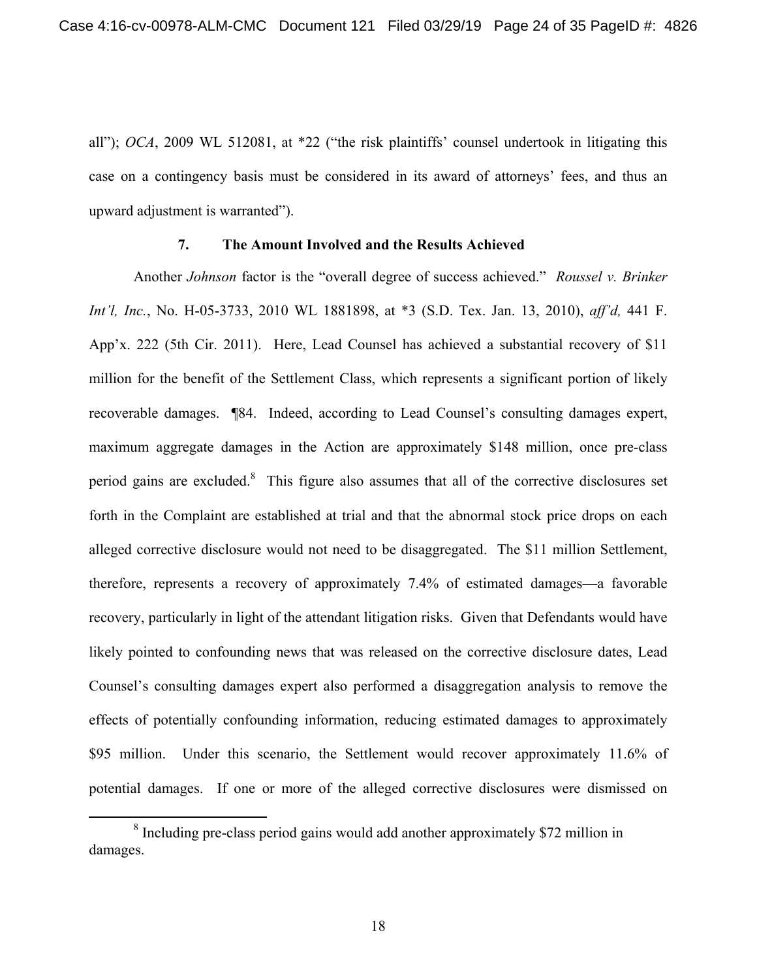all"); *OCA*, 2009 WL 512081, at \*22 ("the risk plaintiffs' counsel undertook in litigating this case on a contingency basis must be considered in its award of attorneys' fees, and thus an upward adjustment is warranted").

### **7. The Amount Involved and the Results Achieved**

Another *Johnson* factor is the "overall degree of success achieved." *Roussel v. Brinker Int'l, Inc.*, No. H-05-3733, 2010 WL 1881898, at \*3 (S.D. Tex. Jan. 13, 2010), *aff'd,* 441 F. App'x. 222 (5th Cir. 2011). Here, Lead Counsel has achieved a substantial recovery of \$11 million for the benefit of the Settlement Class, which represents a significant portion of likely recoverable damages. ¶84. Indeed, according to Lead Counsel's consulting damages expert, maximum aggregate damages in the Action are approximately \$148 million, once pre-class period gains are excluded. $8$  This figure also assumes that all of the corrective disclosures set forth in the Complaint are established at trial and that the abnormal stock price drops on each alleged corrective disclosure would not need to be disaggregated. The \$11 million Settlement, therefore, represents a recovery of approximately 7.4% of estimated damages—a favorable recovery, particularly in light of the attendant litigation risks. Given that Defendants would have likely pointed to confounding news that was released on the corrective disclosure dates, Lead Counsel's consulting damages expert also performed a disaggregation analysis to remove the effects of potentially confounding information, reducing estimated damages to approximately \$95 million. Under this scenario, the Settlement would recover approximately 11.6% of potential damages. If one or more of the alleged corrective disclosures were dismissed on

 <sup>8</sup>  $8$  Including pre-class period gains would add another approximately \$72 million in damages.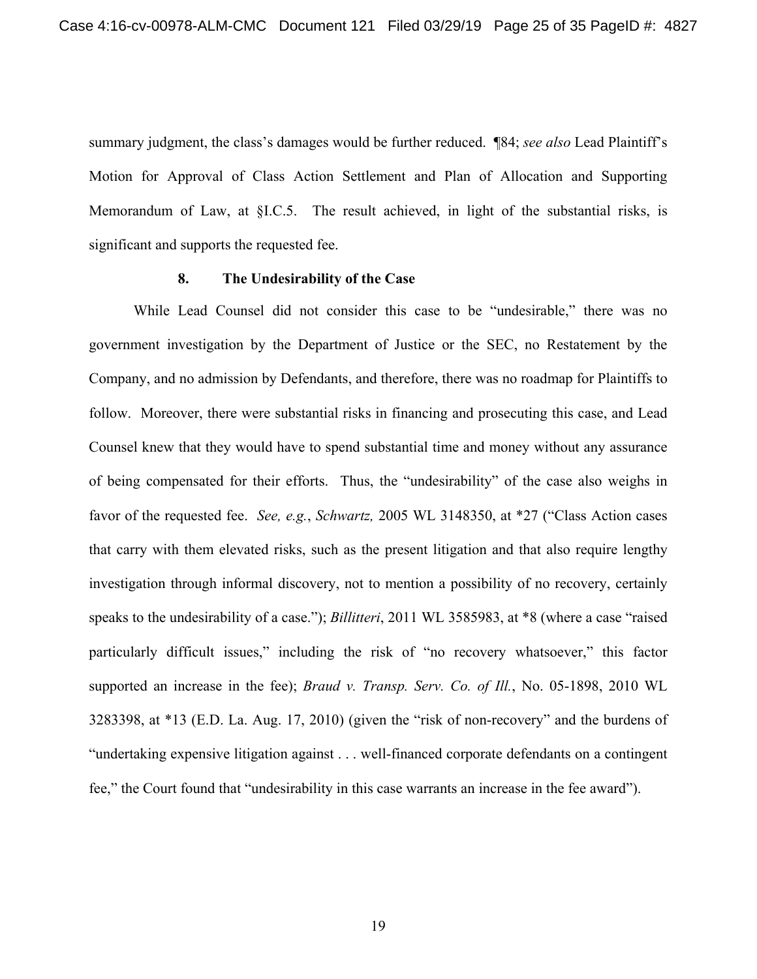summary judgment, the class's damages would be further reduced. ¶84; *see also* Lead Plaintiff's Motion for Approval of Class Action Settlement and Plan of Allocation and Supporting Memorandum of Law, at §I.C.5. The result achieved, in light of the substantial risks, is significant and supports the requested fee.

### **8. The Undesirability of the Case**

While Lead Counsel did not consider this case to be "undesirable," there was no government investigation by the Department of Justice or the SEC, no Restatement by the Company, and no admission by Defendants, and therefore, there was no roadmap for Plaintiffs to follow. Moreover, there were substantial risks in financing and prosecuting this case, and Lead Counsel knew that they would have to spend substantial time and money without any assurance of being compensated for their efforts. Thus, the "undesirability" of the case also weighs in favor of the requested fee. *See, e.g.*, *Schwartz,* 2005 WL 3148350, at \*27 ("Class Action cases that carry with them elevated risks, such as the present litigation and that also require lengthy investigation through informal discovery, not to mention a possibility of no recovery, certainly speaks to the undesirability of a case."); *Billitteri*, 2011 WL 3585983, at \*8 (where a case "raised particularly difficult issues," including the risk of "no recovery whatsoever," this factor supported an increase in the fee); *Braud v. Transp. Serv. Co. of Ill.*, No. 05-1898, 2010 WL 3283398, at \*13 (E.D. La. Aug. 17, 2010) (given the "risk of non-recovery" and the burdens of "undertaking expensive litigation against . . . well-financed corporate defendants on a contingent fee," the Court found that "undesirability in this case warrants an increase in the fee award").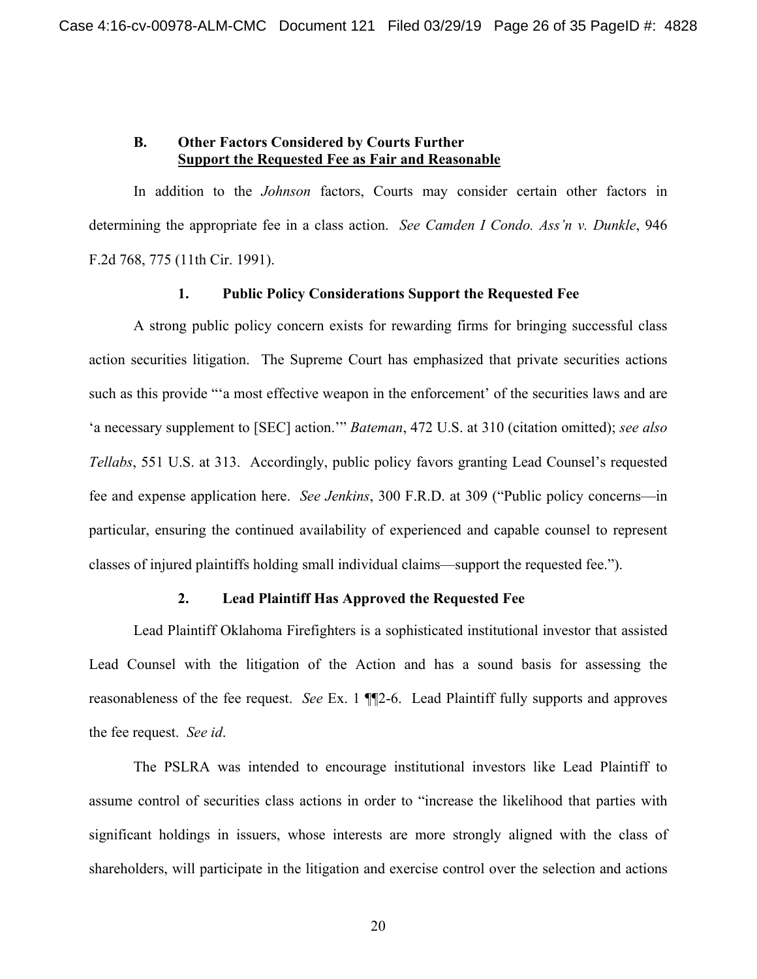### **B. Other Factors Considered by Courts Further Support the Requested Fee as Fair and Reasonable**

In addition to the *Johnson* factors, Courts may consider certain other factors in determining the appropriate fee in a class action. *See Camden I Condo. Ass'n v. Dunkle*, 946 F.2d 768, 775 (11th Cir. 1991).

### **1. Public Policy Considerations Support the Requested Fee**

A strong public policy concern exists for rewarding firms for bringing successful class action securities litigation. The Supreme Court has emphasized that private securities actions such as this provide "'a most effective weapon in the enforcement' of the securities laws and are 'a necessary supplement to [SEC] action.'" *Bateman*, 472 U.S. at 310 (citation omitted); *see also Tellabs*, 551 U.S. at 313.Accordingly, public policy favors granting Lead Counsel's requested fee and expense application here. *See Jenkins*, 300 F.R.D. at 309 ("Public policy concerns—in particular, ensuring the continued availability of experienced and capable counsel to represent classes of injured plaintiffs holding small individual claims—support the requested fee.").

## **2. Lead Plaintiff Has Approved the Requested Fee**

Lead Plaintiff Oklahoma Firefighters is a sophisticated institutional investor that assisted Lead Counsel with the litigation of the Action and has a sound basis for assessing the reasonableness of the fee request. *See* Ex. 1 ¶¶2-6. Lead Plaintiff fully supports and approves the fee request. *See id*.

The PSLRA was intended to encourage institutional investors like Lead Plaintiff to assume control of securities class actions in order to "increase the likelihood that parties with significant holdings in issuers, whose interests are more strongly aligned with the class of shareholders, will participate in the litigation and exercise control over the selection and actions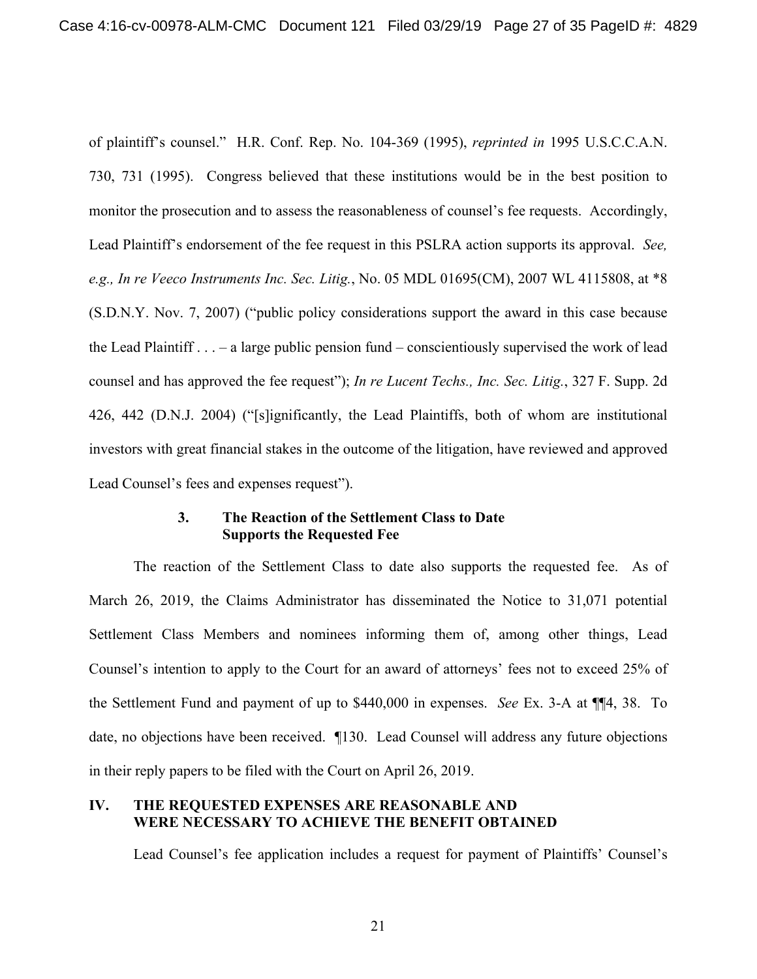of plaintiff's counsel." H.R. Conf. Rep. No. 104-369 (1995), *reprinted in* 1995 U.S.C.C.A.N. 730, 731 (1995). Congress believed that these institutions would be in the best position to monitor the prosecution and to assess the reasonableness of counsel's fee requests. Accordingly, Lead Plaintiff's endorsement of the fee request in this PSLRA action supports its approval. *See, e.g., In re Veeco Instruments Inc. Sec. Litig.*, No. 05 MDL 01695(CM), 2007 WL 4115808, at \*8 (S.D.N.Y. Nov. 7, 2007) ("public policy considerations support the award in this case because the Lead Plaintiff . . . – a large public pension fund – conscientiously supervised the work of lead counsel and has approved the fee request"); *In re Lucent Techs., Inc. Sec. Litig.*, 327 F. Supp. 2d 426, 442 (D.N.J. 2004) ("[s]ignificantly, the Lead Plaintiffs, both of whom are institutional investors with great financial stakes in the outcome of the litigation, have reviewed and approved Lead Counsel's fees and expenses request").

### **3. The Reaction of the Settlement Class to Date Supports the Requested Fee**

The reaction of the Settlement Class to date also supports the requested fee. As of March 26, 2019, the Claims Administrator has disseminated the Notice to 31,071 potential Settlement Class Members and nominees informing them of, among other things, Lead Counsel's intention to apply to the Court for an award of attorneys' fees not to exceed 25% of the Settlement Fund and payment of up to \$440,000 in expenses. *See* Ex. 3-A at ¶¶4, 38. To date, no objections have been received. ¶130. Lead Counsel will address any future objections in their reply papers to be filed with the Court on April 26, 2019.

## **IV. THE REQUESTED EXPENSES ARE REASONABLE AND WERE NECESSARY TO ACHIEVE THE BENEFIT OBTAINED**

Lead Counsel's fee application includes a request for payment of Plaintiffs' Counsel's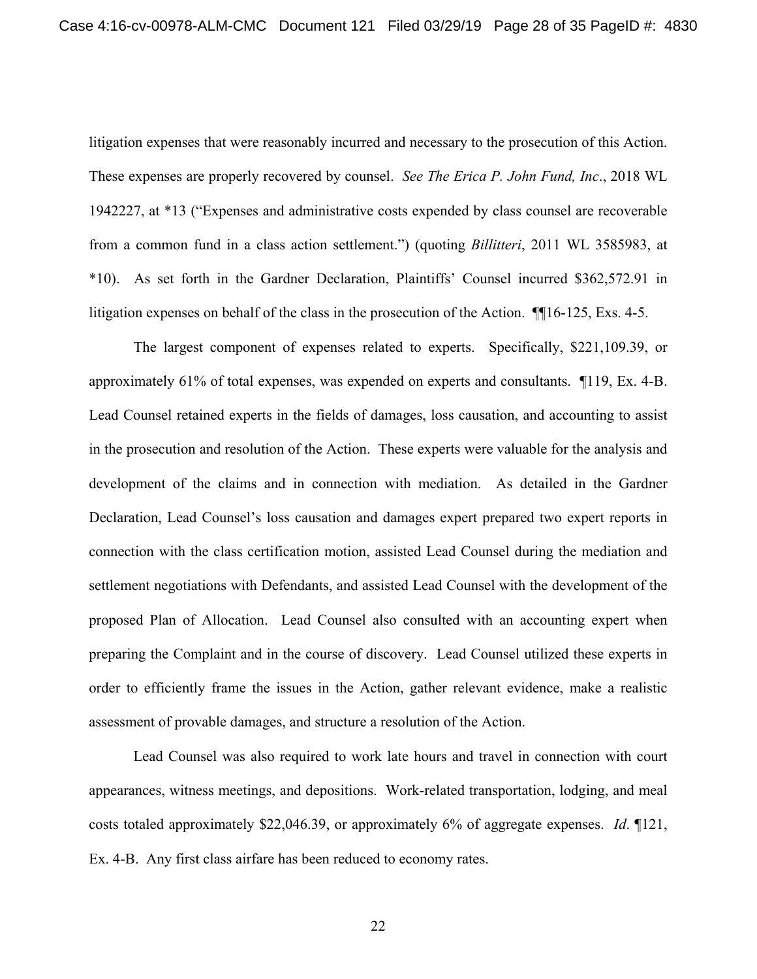litigation expenses that were reasonably incurred and necessary to the prosecution of this Action. These expenses are properly recovered by counsel. *See The Erica P. John Fund, Inc*., 2018 WL 1942227, at \*13 ("Expenses and administrative costs expended by class counsel are recoverable from a common fund in a class action settlement.") (quoting *Billitteri*, 2011 WL 3585983, at \*10). As set forth in the Gardner Declaration, Plaintiffs' Counsel incurred \$362,572.91 in litigation expenses on behalf of the class in the prosecution of the Action. ¶¶16-125, Exs. 4-5.

The largest component of expenses related to experts. Specifically, \$221,109.39, or approximately 61% of total expenses, was expended on experts and consultants. ¶119, Ex. 4-B. Lead Counsel retained experts in the fields of damages, loss causation, and accounting to assist in the prosecution and resolution of the Action. These experts were valuable for the analysis and development of the claims and in connection with mediation. As detailed in the Gardner Declaration, Lead Counsel's loss causation and damages expert prepared two expert reports in connection with the class certification motion, assisted Lead Counsel during the mediation and settlement negotiations with Defendants, and assisted Lead Counsel with the development of the proposed Plan of Allocation. Lead Counsel also consulted with an accounting expert when preparing the Complaint and in the course of discovery. Lead Counsel utilized these experts in order to efficiently frame the issues in the Action, gather relevant evidence, make a realistic assessment of provable damages, and structure a resolution of the Action.

Lead Counsel was also required to work late hours and travel in connection with court appearances, witness meetings, and depositions. Work-related transportation, lodging, and meal costs totaled approximately \$22,046.39, or approximately 6% of aggregate expenses. *Id*. ¶121, Ex. 4-B. Any first class airfare has been reduced to economy rates.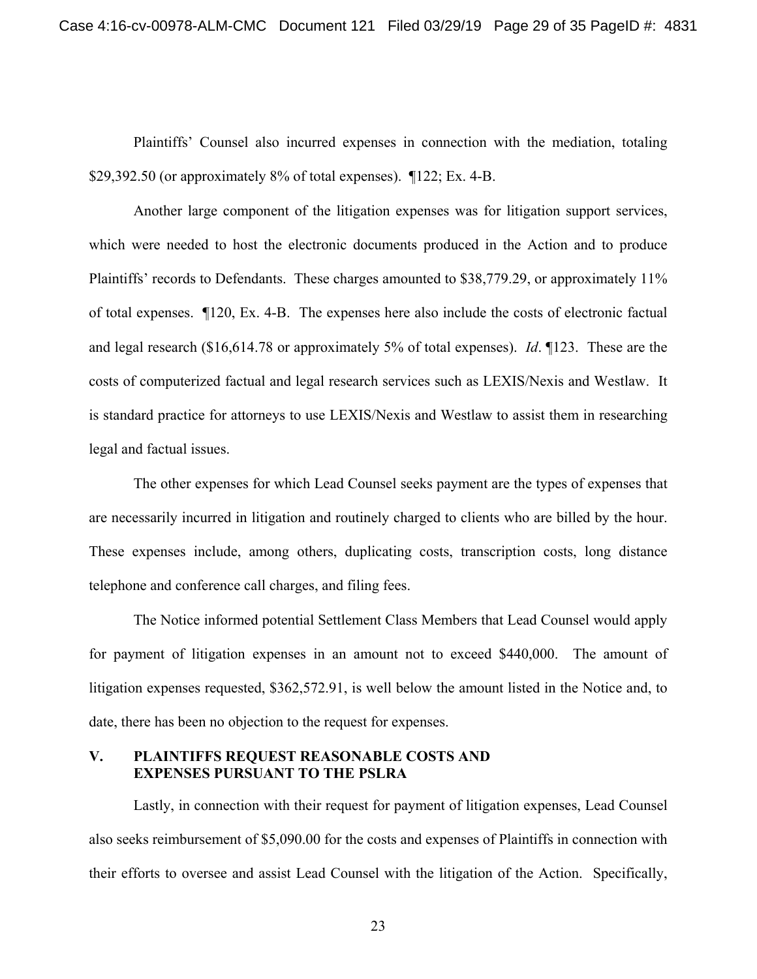Plaintiffs' Counsel also incurred expenses in connection with the mediation, totaling \$29,392.50 (or approximately 8% of total expenses). ¶122; Ex. 4-B.

Another large component of the litigation expenses was for litigation support services, which were needed to host the electronic documents produced in the Action and to produce Plaintiffs' records to Defendants. These charges amounted to \$38,779.29, or approximately 11% of total expenses. ¶120, Ex. 4-B. The expenses here also include the costs of electronic factual and legal research (\$16,614.78 or approximately 5% of total expenses). *Id*. ¶123. These are the costs of computerized factual and legal research services such as LEXIS/Nexis and Westlaw. It is standard practice for attorneys to use LEXIS/Nexis and Westlaw to assist them in researching legal and factual issues.

The other expenses for which Lead Counsel seeks payment are the types of expenses that are necessarily incurred in litigation and routinely charged to clients who are billed by the hour. These expenses include, among others, duplicating costs, transcription costs, long distance telephone and conference call charges, and filing fees.

The Notice informed potential Settlement Class Members that Lead Counsel would apply for payment of litigation expenses in an amount not to exceed \$440,000. The amount of litigation expenses requested, \$362,572.91, is well below the amount listed in the Notice and, to date, there has been no objection to the request for expenses.

## **V. PLAINTIFFS REQUEST REASONABLE COSTS AND EXPENSES PURSUANT TO THE PSLRA**

Lastly, in connection with their request for payment of litigation expenses, Lead Counsel also seeks reimbursement of \$5,090.00 for the costs and expenses of Plaintiffs in connection with their efforts to oversee and assist Lead Counsel with the litigation of the Action. Specifically,

23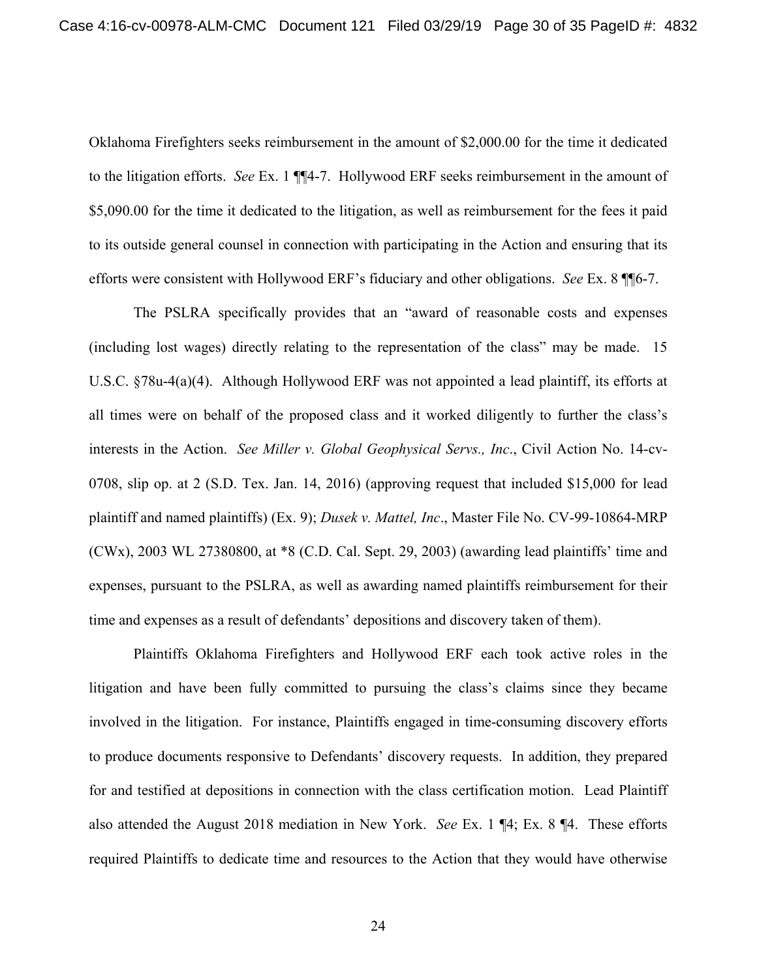Oklahoma Firefighters seeks reimbursement in the amount of \$2,000.00 for the time it dedicated to the litigation efforts. *See* Ex. 1 ¶¶4-7. Hollywood ERF seeks reimbursement in the amount of \$5,090.00 for the time it dedicated to the litigation, as well as reimbursement for the fees it paid to its outside general counsel in connection with participating in the Action and ensuring that its efforts were consistent with Hollywood ERF's fiduciary and other obligations. *See* Ex. 8 ¶¶6-7.

The PSLRA specifically provides that an "award of reasonable costs and expenses (including lost wages) directly relating to the representation of the class" may be made. 15 U.S.C. §78u-4(a)(4). Although Hollywood ERF was not appointed a lead plaintiff, its efforts at all times were on behalf of the proposed class and it worked diligently to further the class's interests in the Action. *See Miller v. Global Geophysical Servs., Inc*., Civil Action No. 14-cv-0708, slip op. at 2 (S.D. Tex. Jan. 14, 2016) (approving request that included \$15,000 for lead plaintiff and named plaintiffs) (Ex. 9); *Dusek v. Mattel, Inc*., Master File No. CV-99-10864-MRP (CWx), 2003 WL 27380800, at \*8 (C.D. Cal. Sept. 29, 2003) (awarding lead plaintiffs' time and expenses, pursuant to the PSLRA, as well as awarding named plaintiffs reimbursement for their time and expenses as a result of defendants' depositions and discovery taken of them).

Plaintiffs Oklahoma Firefighters and Hollywood ERF each took active roles in the litigation and have been fully committed to pursuing the class's claims since they became involved in the litigation. For instance, Plaintiffs engaged in time-consuming discovery efforts to produce documents responsive to Defendants' discovery requests. In addition, they prepared for and testified at depositions in connection with the class certification motion. Lead Plaintiff also attended the August 2018 mediation in New York. *See* Ex. 1 ¶4; Ex. 8 ¶4. These efforts required Plaintiffs to dedicate time and resources to the Action that they would have otherwise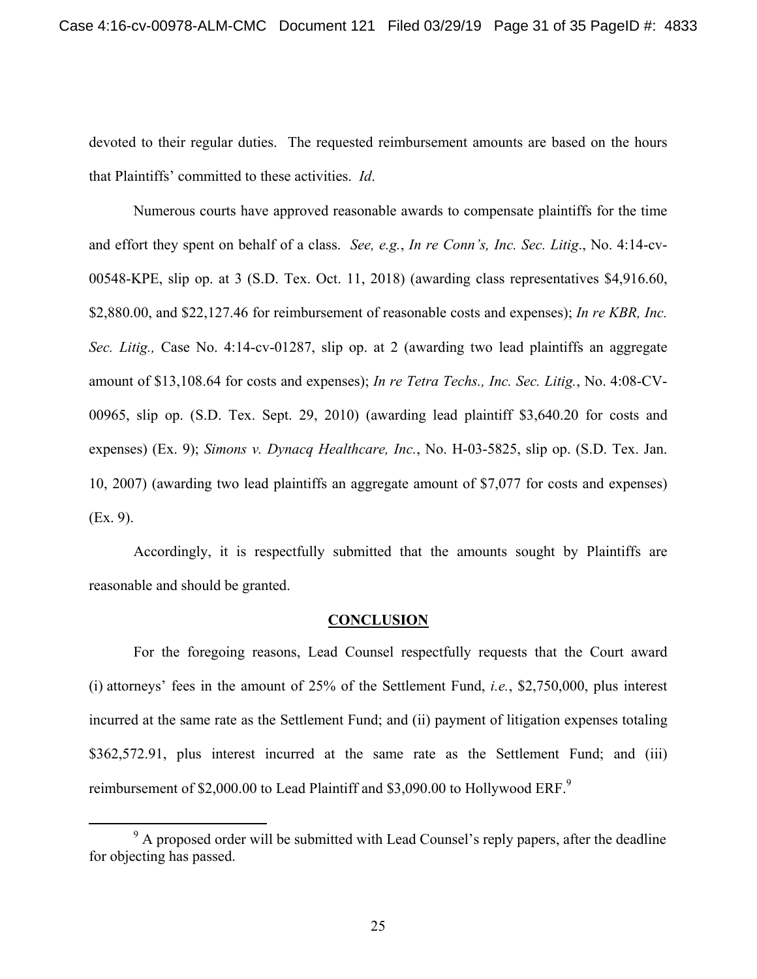devoted to their regular duties. The requested reimbursement amounts are based on the hours that Plaintiffs' committed to these activities. *Id*.

Numerous courts have approved reasonable awards to compensate plaintiffs for the time and effort they spent on behalf of a class. *See, e.g.*, *In re Conn's, Inc. Sec. Litig*., No. 4:14-cv-00548-KPE, slip op. at 3 (S.D. Tex. Oct. 11, 2018) (awarding class representatives \$4,916.60, \$2,880.00, and \$22,127.46 for reimbursement of reasonable costs and expenses); *In re KBR, Inc. Sec. Litig.,* Case No. 4:14-cv-01287, slip op. at 2 (awarding two lead plaintiffs an aggregate amount of \$13,108.64 for costs and expenses); *In re Tetra Techs., Inc. Sec. Litig.*, No. 4:08-CV-00965, slip op. (S.D. Tex. Sept. 29, 2010) (awarding lead plaintiff \$3,640.20 for costs and expenses) (Ex. 9); *Simons v. Dynacq Healthcare, Inc.*, No. H-03-5825, slip op. (S.D. Tex. Jan. 10, 2007) (awarding two lead plaintiffs an aggregate amount of \$7,077 for costs and expenses) (Ex. 9).

Accordingly, it is respectfully submitted that the amounts sought by Plaintiffs are reasonable and should be granted.

#### **CONCLUSION**

For the foregoing reasons, Lead Counsel respectfully requests that the Court award (i) attorneys' fees in the amount of 25% of the Settlement Fund, *i.e.*, \$2,750,000, plus interest incurred at the same rate as the Settlement Fund; and (ii) payment of litigation expenses totaling \$362,572.91, plus interest incurred at the same rate as the Settlement Fund; and (iii) reimbursement of \$2,000.00 to Lead Plaintiff and \$3,090.00 to Hollywood ERF.<sup>9</sup>

 $\frac{1}{9}$  $9$  A proposed order will be submitted with Lead Counsel's reply papers, after the deadline for objecting has passed.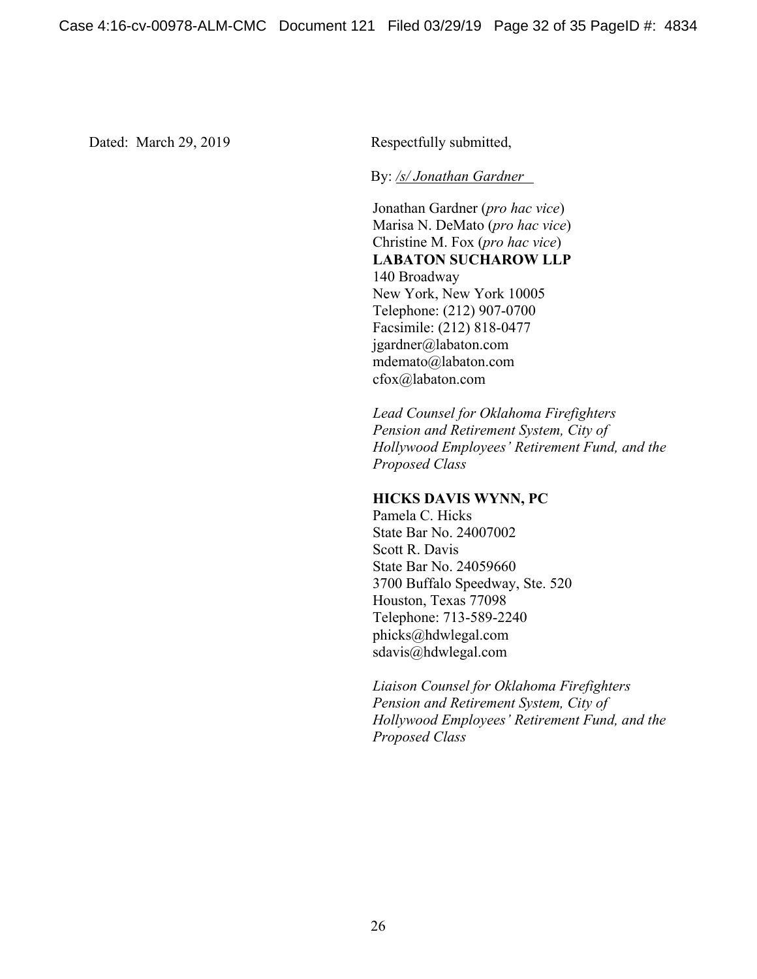Dated: March 29, 2019 Respectfully submitted,

By: */s/ Jonathan Gardner* 

Jonathan Gardner (*pro hac vice*) Marisa N. DeMato (*pro hac vice*) Christine M. Fox (*pro hac vice*) **LABATON SUCHAROW LLP**  140 Broadway New York, New York 10005 Telephone: (212) 907-0700 Facsimile: (212) 818-0477 jgardner@labaton.com mdemato@labaton.com cfox@labaton.com

*Lead Counsel for Oklahoma Firefighters Pension and Retirement System, City of Hollywood Employees' Retirement Fund, and the Proposed Class* 

### **HICKS DAVIS WYNN, PC**

Pamela C. Hicks State Bar No. 24007002 Scott R. Davis State Bar No. 24059660 3700 Buffalo Speedway, Ste. 520 Houston, Texas 77098 Telephone: 713-589-2240 phicks@hdwlegal.com sdavis@hdwlegal.com

*Liaison Counsel for Oklahoma Firefighters Pension and Retirement System, City of Hollywood Employees' Retirement Fund, and the Proposed Class*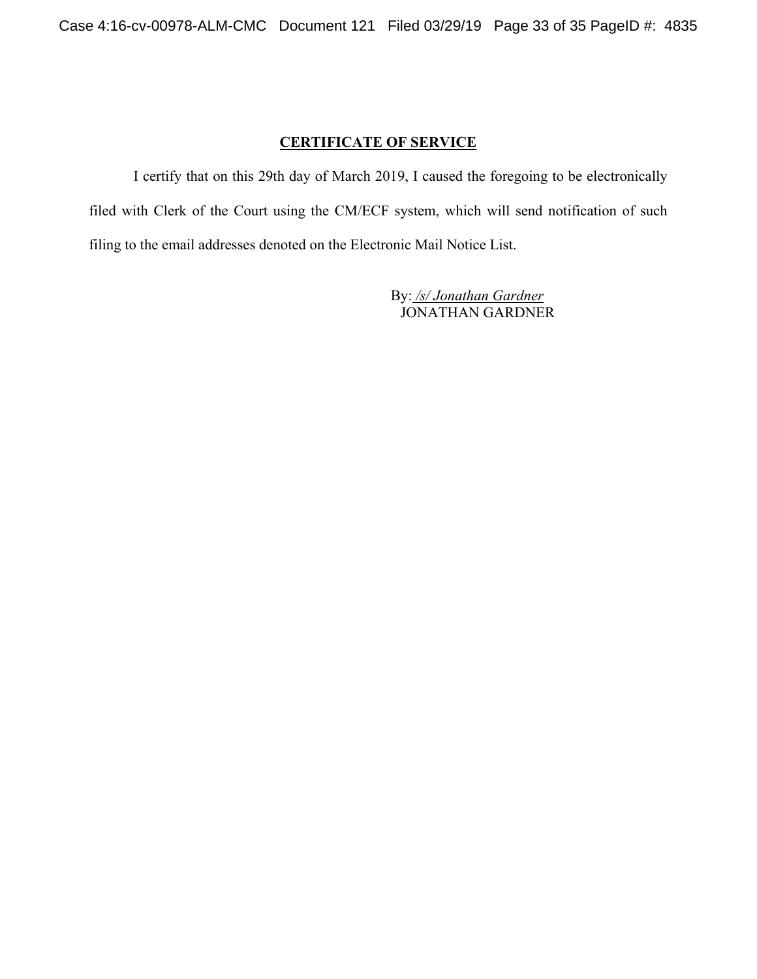# **CERTIFICATE OF SERVICE**

I certify that on this 29th day of March 2019, I caused the foregoing to be electronically filed with Clerk of the Court using the CM/ECF system, which will send notification of such filing to the email addresses denoted on the Electronic Mail Notice List.

> By: */s/ Jonathan Gardner* JONATHAN GARDNER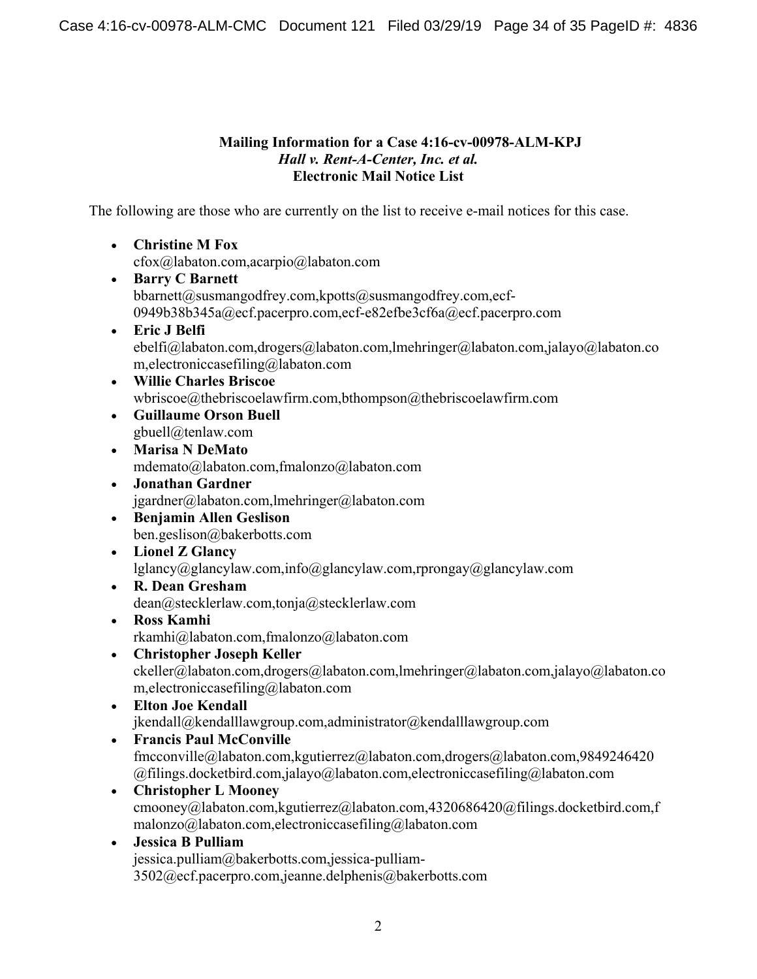## **Mailing Information for a Case 4:16-cv-00978-ALM-KPJ**  *Hall v. Rent-A-Center, Inc. et al.*  **Electronic Mail Notice List**

The following are those who are currently on the list to receive e-mail notices for this case.

- **Christine M Fox**  cfox@labaton.com,acarpio@labaton.com
- **Barry C Barnett**  bbarnett@susmangodfrey.com,kpotts@susmangodfrey.com,ecf-0949b38b345a@ecf.pacerpro.com,ecf-e82efbe3cf6a@ecf.pacerpro.com
- **Eric J Belfi**  ebelfi@labaton.com,drogers@labaton.com,lmehringer@labaton.com,jalayo@labaton.co m,electroniccasefiling@labaton.com
- **Willie Charles Briscoe**  wbriscoe@thebriscoelawfirm.com,bthompson@thebriscoelawfirm.com
- **Guillaume Orson Buell**  gbuell@tenlaw.com
- **Marisa N DeMato**  mdemato@labaton.com,fmalonzo@labaton.com
- **Jonathan Gardner**  jgardner@labaton.com,lmehringer@labaton.com
- **Benjamin Allen Geslison**  ben.geslison@bakerbotts.com
- **Lionel Z Glancy**  lglancy@glancylaw.com,info@glancylaw.com,rprongay@glancylaw.com
- **R. Dean Gresham**  dean@stecklerlaw.com,tonja@stecklerlaw.com
- **Ross Kamhi**  rkamhi@labaton.com,fmalonzo@labaton.com
- **Christopher Joseph Keller**  ckeller@labaton.com,drogers@labaton.com,lmehringer@labaton.com,jalayo@labaton.co m,electroniccasefiling@labaton.com
- **Elton Joe Kendall**  jkendall@kendalllawgroup.com,administrator@kendalllawgroup.com
- **Francis Paul McConville**  fmcconville@labaton.com,kgutierrez@labaton.com,drogers@labaton.com,9849246420 @filings.docketbird.com,jalayo@labaton.com,electroniccasefiling@labaton.com
- **Christopher L Mooney**  cmooney@labaton.com,kgutierrez@labaton.com,4320686420@filings.docketbird.com,f malonzo@labaton.com,electroniccasefiling@labaton.com
- **Jessica B Pulliam**  jessica.pulliam@bakerbotts.com,jessica-pulliam-3502@ecf.pacerpro.com,jeanne.delphenis@bakerbotts.com